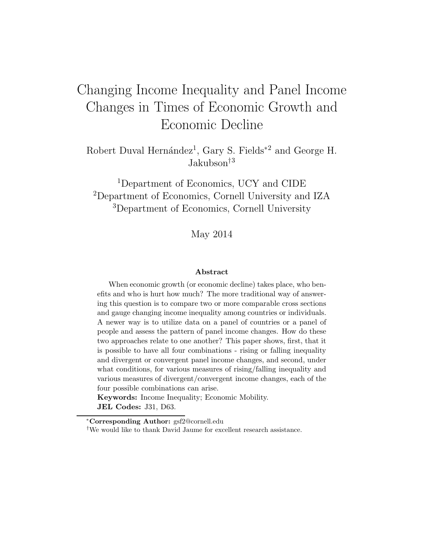# Changing Income Inequality and Panel Income Changes in Times of Economic Growth and Economic Decline

Robert Duval Hernández<sup>1</sup>, Gary S. Fields<sup>\*2</sup> and George H. Jakubson†<sup>3</sup>

<sup>1</sup>Department of Economics, UCY and CIDE <sup>2</sup>Department of Economics, Cornell University and IZA <sup>3</sup>Department of Economics, Cornell University

May 2014

#### Abstract

When economic growth (or economic decline) takes place, who benefits and who is hurt how much? The more traditional way of answering this question is to compare two or more comparable cross sections and gauge changing income inequality among countries or individuals. A newer way is to utilize data on a panel of countries or a panel of people and assess the pattern of panel income changes. How do these two approaches relate to one another? This paper shows, first, that it is possible to have all four combinations - rising or falling inequality and divergent or convergent panel income changes, and second, under what conditions, for various measures of rising/falling inequality and various measures of divergent/convergent income changes, each of the four possible combinations can arise.

Keywords: Income Inequality; Economic Mobility. JEL Codes: J31, D63.

<sup>∗</sup>Corresponding Author: gsf2@cornell.edu

<sup>†</sup>We would like to thank David Jaume for excellent research assistance.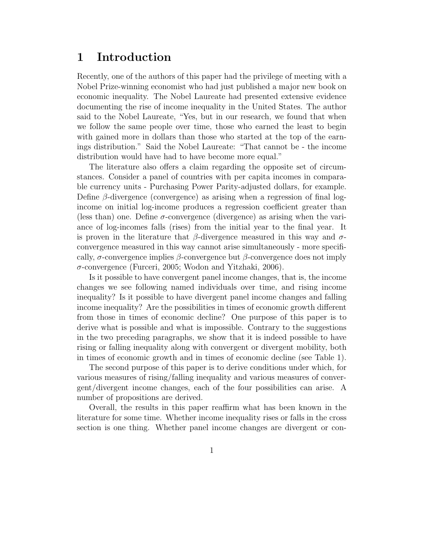## 1 Introduction

Recently, one of the authors of this paper had the privilege of meeting with a Nobel Prize-winning economist who had just published a major new book on economic inequality. The Nobel Laureate had presented extensive evidence documenting the rise of income inequality in the United States. The author said to the Nobel Laureate, "Yes, but in our research, we found that when we follow the same people over time, those who earned the least to begin with gained more in dollars than those who started at the top of the earnings distribution." Said the Nobel Laureate: "That cannot be - the income distribution would have had to have become more equal."

The literature also offers a claim regarding the opposite set of circumstances. Consider a panel of countries with per capita incomes in comparable currency units - Purchasing Power Parity-adjusted dollars, for example. Define  $\beta$ -divergence (convergence) as arising when a regression of final logincome on initial log-income produces a regression coefficient greater than (less than) one. Define  $\sigma$ -convergence (divergence) as arising when the variance of log-incomes falls (rises) from the initial year to the final year. It is proven in the literature that  $\beta$ -divergence measured in this way and  $\sigma$ convergence measured in this way cannot arise simultaneously - more specifically,  $\sigma$ -convergence implies  $\beta$ -convergence but  $\beta$ -convergence does not imply σ-convergence (Furceri, 2005; Wodon and Yitzhaki, 2006).

Is it possible to have convergent panel income changes, that is, the income changes we see following named individuals over time, and rising income inequality? Is it possible to have divergent panel income changes and falling income inequality? Are the possibilities in times of economic growth different from those in times of economic decline? One purpose of this paper is to derive what is possible and what is impossible. Contrary to the suggestions in the two preceding paragraphs, we show that it is indeed possible to have rising or falling inequality along with convergent or divergent mobility, both in times of economic growth and in times of economic decline (see Table 1).

The second purpose of this paper is to derive conditions under which, for various measures of rising/falling inequality and various measures of convergent/divergent income changes, each of the four possibilities can arise. A number of propositions are derived.

Overall, the results in this paper reaffirm what has been known in the literature for some time. Whether income inequality rises or falls in the cross section is one thing. Whether panel income changes are divergent or con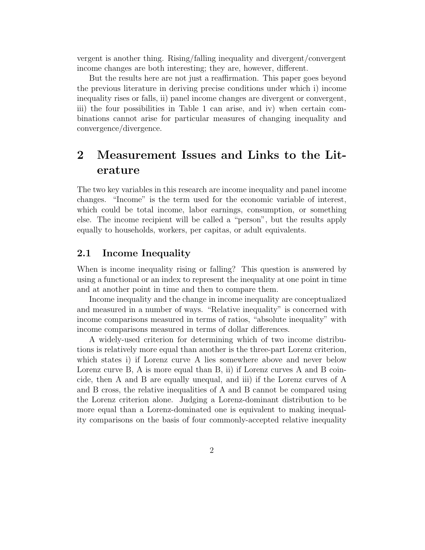vergent is another thing. Rising/falling inequality and divergent/convergent income changes are both interesting; they are, however, different.

But the results here are not just a reaffirmation. This paper goes beyond the previous literature in deriving precise conditions under which i) income inequality rises or falls, ii) panel income changes are divergent or convergent, iii) the four possibilities in Table 1 can arise, and iv) when certain combinations cannot arise for particular measures of changing inequality and convergence/divergence.

## 2 Measurement Issues and Links to the Literature

The two key variables in this research are income inequality and panel income changes. "Income" is the term used for the economic variable of interest, which could be total income, labor earnings, consumption, or something else. The income recipient will be called a "person", but the results apply equally to households, workers, per capitas, or adult equivalents.

## 2.1 Income Inequality

When is income inequality rising or falling? This question is answered by using a functional or an index to represent the inequality at one point in time and at another point in time and then to compare them.

Income inequality and the change in income inequality are conceptualized and measured in a number of ways. "Relative inequality" is concerned with income comparisons measured in terms of ratios, "absolute inequality" with income comparisons measured in terms of dollar differences.

A widely-used criterion for determining which of two income distributions is relatively more equal than another is the three-part Lorenz criterion, which states i) if Lorenz curve A lies somewhere above and never below Lorenz curve B, A is more equal than B, ii) if Lorenz curves A and B coincide, then A and B are equally unequal, and iii) if the Lorenz curves of A and B cross, the relative inequalities of A and B cannot be compared using the Lorenz criterion alone. Judging a Lorenz-dominant distribution to be more equal than a Lorenz-dominated one is equivalent to making inequality comparisons on the basis of four commonly-accepted relative inequality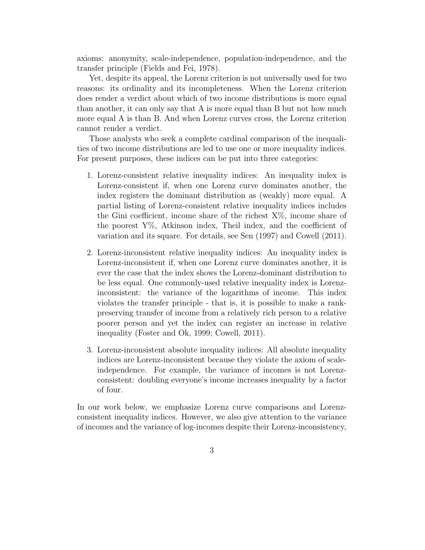axioms: anonymity, scale-independence, population-independence, and the transfer principle (Fields and Fei, 1978).

Yet, despite its appeal, the Lorenz criterion is not universally used for two reasons: its ordinality and its incompleteness. When the Lorenz criterion does render a verdict about which of two income distributions is more equal than another, it can only say that A is more equal than B but not how much more equal A is than B. And when Lorenz curves cross, the Lorenz criterion cannot render a verdict.

Those analysts who seek a complete cardinal comparison of the inequalities of two income distributions are led to use one or more inequality indices. For present purposes, these indices can be put into three categories:

- 1. Lorenz-consistent relative inequality indices: An inequality index is Lorenz-consistent if, when one Lorenz curve dominates another, the index registers the dominant distribution as (weakly) more equal. A partial listing of Lorenz-consistent relative inequality indices includes the Gini coefficient, income share of the richest  $X\%$ , income share of the poorest  $Y\%$ , Atkinson index, Theil index, and the coefficient of variation and its square. For details, see Sen (1997) and Cowell (2011).
- 2. Lorenz-inconsistent relative inequality indices: An inequality index is Lorenz-inconsistent if, when one Lorenz curve dominates another, it is ever the case that the index shows the Lorenz-dominant distribution to be less equal. One commonly-used relative inequality index is Lorenzinconsistent: the variance of the logarithms of income. This index violates the transfer principle - that is, it is possible to make a rankpreserving transfer of income from a relatively rich person to a relative poorer person and yet the index can register an increase in relative inequality (Foster and Ok, 1999; Cowell, 2011).
- 3. Lorenz-inconsistent absolute inequality indices: All absolute inequality indices are Lorenz-inconsistent because they violate the axiom of scaleindependence. For example, the variance of incomes is not Lorenzconsistent: doubling everyone's income increases inequality by a factor of four.

In our work below, we emphasize Lorenz curve comparisons and Lorenzconsistent inequality indices. However, we also give attention to the variance of incomes and the variance of log-incomes despite their Lorenz-inconsistency,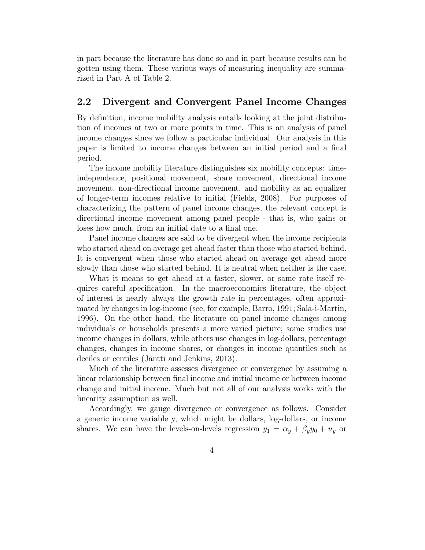in part because the literature has done so and in part because results can be gotten using them. These various ways of measuring inequality are summarized in Part A of Table 2.

## 2.2 Divergent and Convergent Panel Income Changes

By definition, income mobility analysis entails looking at the joint distribution of incomes at two or more points in time. This is an analysis of panel income changes since we follow a particular individual. Our analysis in this paper is limited to income changes between an initial period and a final period.

The income mobility literature distinguishes six mobility concepts: timeindependence, positional movement, share movement, directional income movement, non-directional income movement, and mobility as an equalizer of longer-term incomes relative to initial (Fields, 2008). For purposes of characterizing the pattern of panel income changes, the relevant concept is directional income movement among panel people - that is, who gains or loses how much, from an initial date to a final one.

Panel income changes are said to be divergent when the income recipients who started ahead on average get ahead faster than those who started behind. It is convergent when those who started ahead on average get ahead more slowly than those who started behind. It is neutral when neither is the case.

What it means to get ahead at a faster, slower, or same rate itself requires careful specification. In the macroeconomics literature, the object of interest is nearly always the growth rate in percentages, often approximated by changes in log-income (see, for example, Barro, 1991; Sala-i-Martin, 1996). On the other hand, the literature on panel income changes among individuals or households presents a more varied picture; some studies use income changes in dollars, while others use changes in log-dollars, percentage changes, changes in income shares, or changes in income quantiles such as deciles or centiles (Jäntti and Jenkins, 2013).

Much of the literature assesses divergence or convergence by assuming a linear relationship between final income and initial income or between income change and initial income. Much but not all of our analysis works with the linearity assumption as well.

Accordingly, we gauge divergence or convergence as follows. Consider a generic income variable y, which might be dollars, log-dollars, or income shares. We can have the levels-on-levels regression  $y_1 = \alpha_y + \beta_y y_0 + u_y$  or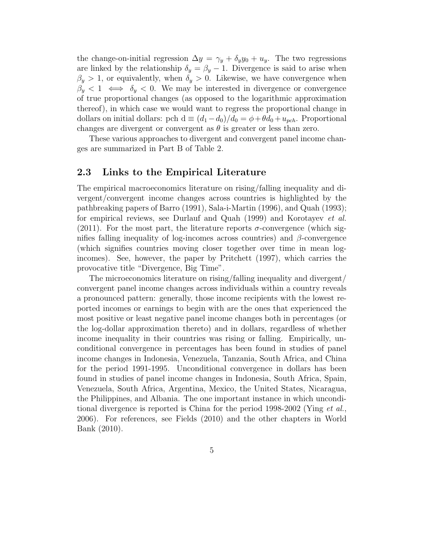the change-on-initial regression  $\Delta y = \gamma_y + \delta_y y_0 + u_y$ . The two regressions are linked by the relationship  $\delta_y = \beta_y - 1$ . Divergence is said to arise when  $\beta_y > 1$ , or equivalently, when  $\delta_y > 0$ . Likewise, we have convergence when  $\beta_y < 1 \iff \delta_y < 0$ . We may be interested in divergence or convergence of true proportional changes (as opposed to the logarithmic approximation thereof), in which case we would want to regress the proportional change in dollars on initial dollars: pch  $d \equiv (d_1 - d_0)/d_0 = \phi + \theta d_0 + u_{pch}$ . Proportional changes are divergent or convergent as  $\theta$  is greater or less than zero.

These various approaches to divergent and convergent panel income changes are summarized in Part B of Table 2.

## 2.3 Links to the Empirical Literature

The empirical macroeconomics literature on rising/falling inequality and divergent/convergent income changes across countries is highlighted by the pathbreaking papers of Barro (1991), Sala-i-Martin (1996), and Quah (1993); for empirical reviews, see Durlauf and Quah (1999) and Korotayev et al. (2011). For the most part, the literature reports  $\sigma$ -convergence (which signifies falling inequality of log-incomes across countries) and  $\beta$ -convergence (which signifies countries moving closer together over time in mean logincomes). See, however, the paper by Pritchett (1997), which carries the provocative title "Divergence, Big Time".

The microeconomics literature on rising/falling inequality and divergent/ convergent panel income changes across individuals within a country reveals a pronounced pattern: generally, those income recipients with the lowest reported incomes or earnings to begin with are the ones that experienced the most positive or least negative panel income changes both in percentages (or the log-dollar approximation thereto) and in dollars, regardless of whether income inequality in their countries was rising or falling. Empirically, unconditional convergence in percentages has been found in studies of panel income changes in Indonesia, Venezuela, Tanzania, South Africa, and China for the period 1991-1995. Unconditional convergence in dollars has been found in studies of panel income changes in Indonesia, South Africa, Spain, Venezuela, South Africa, Argentina, Mexico, the United States, Nicaragua, the Philippines, and Albania. The one important instance in which unconditional divergence is reported is China for the period 1998-2002 (Ying *et al.*, 2006). For references, see Fields (2010) and the other chapters in World Bank (2010).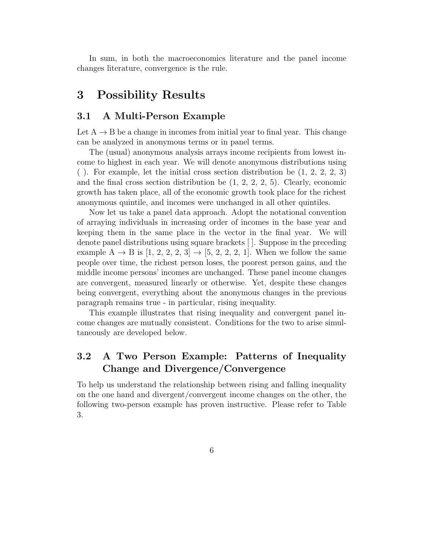In sum, in both the macroeconomics literature and the panel income changes literature, convergence is the rule.

## 3 Possibility Results

## 3.1 A Multi-Person Example

Let  $A \rightarrow B$  be a change in incomes from initial year to final year. This change can be analyzed in anonymous terms or in panel terms.

The (usual) anonymous analysis arrays income recipients from lowest income to highest in each year. We will denote anonymous distributions using ( ). For example, let the initial cross section distribution be (1, 2, 2, 2, 3) and the final cross section distribution be  $(1, 2, 2, 2, 5)$ . Clearly, economic growth has taken place, all of the economic growth took place for the richest anonymous quintile, and incomes were unchanged in all other quintiles.

Now let us take a panel data approach. Adopt the notational convention of arraying individuals in increasing order of incomes in the base year and keeping them in the same place in the vector in the final year. We will denote panel distributions using square brackets [ ]. Suppose in the preceding example  $A \to B$  is  $[1, 2, 2, 2, 3] \to [5, 2, 2, 2, 1]$ . When we follow the same people over time, the richest person loses, the poorest person gains, and the middle income persons' incomes are unchanged. These panel income changes are convergent, measured linearly or otherwise. Yet, despite these changes being convergent, everything about the anonymous changes in the previous paragraph remains true - in particular, rising inequality.

This example illustrates that rising inequality and convergent panel income changes are mutually consistent. Conditions for the two to arise simultaneously are developed below.

## 3.2 A Two Person Example: Patterns of Inequality Change and Divergence/Convergence

To help us understand the relationship between rising and falling inequality on the one hand and divergent/convergent income changes on the other, the following two-person example has proven instructive. Please refer to Table 3.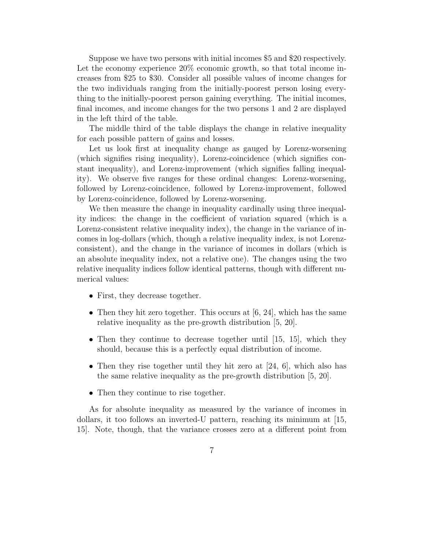Suppose we have two persons with initial incomes \$5 and \$20 respectively. Let the economy experience  $20\%$  economic growth, so that total income increases from \$25 to \$30. Consider all possible values of income changes for the two individuals ranging from the initially-poorest person losing everything to the initially-poorest person gaining everything. The initial incomes, final incomes, and income changes for the two persons 1 and 2 are displayed in the left third of the table.

The middle third of the table displays the change in relative inequality for each possible pattern of gains and losses.

Let us look first at inequality change as gauged by Lorenz-worsening (which signifies rising inequality), Lorenz-coincidence (which signifies constant inequality), and Lorenz-improvement (which signifies falling inequality). We observe five ranges for these ordinal changes: Lorenz-worsening, followed by Lorenz-coincidence, followed by Lorenz-improvement, followed by Lorenz-coincidence, followed by Lorenz-worsening.

We then measure the change in inequality cardinally using three inequality indices: the change in the coefficient of variation squared (which is a Lorenz-consistent relative inequality index), the change in the variance of incomes in log-dollars (which, though a relative inequality index, is not Lorenzconsistent), and the change in the variance of incomes in dollars (which is an absolute inequality index, not a relative one). The changes using the two relative inequality indices follow identical patterns, though with different numerical values:

- First, they decrease together.
- Then they hit zero together. This occurs at  $[6, 24]$ , which has the same relative inequality as the pre-growth distribution [5, 20].
- Then they continue to decrease together until [15, 15], which they should, because this is a perfectly equal distribution of income.
- Then they rise together until they hit zero at [24, 6], which also has the same relative inequality as the pre-growth distribution [5, 20].
- Then they continue to rise together.

As for absolute inequality as measured by the variance of incomes in dollars, it too follows an inverted-U pattern, reaching its minimum at [15, 15]. Note, though, that the variance crosses zero at a different point from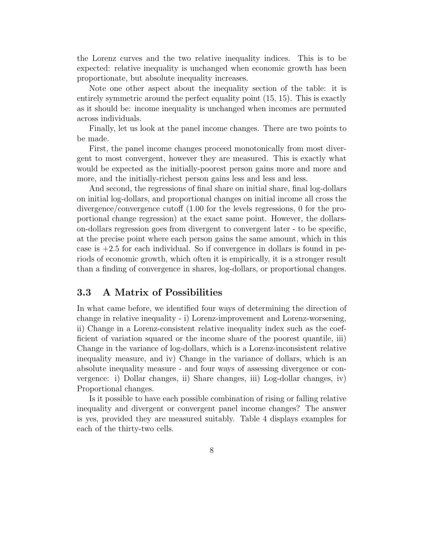the Lorenz curves and the two relative inequality indices. This is to be expected: relative inequality is unchanged when economic growth has been proportionate, but absolute inequality increases.

Note one other aspect about the inequality section of the table: it is entirely symmetric around the perfect equality point (15, 15). This is exactly as it should be: income inequality is unchanged when incomes are permuted across individuals.

Finally, let us look at the panel income changes. There are two points to be made.

First, the panel income changes proceed monotonically from most divergent to most convergent, however they are measured. This is exactly what would be expected as the initially-poorest person gains more and more and more, and the initially-richest person gains less and less and less.

And second, the regressions of final share on initial share, final log-dollars on initial log-dollars, and proportional changes on initial income all cross the divergence/convergence cutoff (1.00 for the levels regressions, 0 for the proportional change regression) at the exact same point. However, the dollarson-dollars regression goes from divergent to convergent later - to be specific, at the precise point where each person gains the same amount, which in this case is  $+2.5$  for each individual. So if convergence in dollars is found in periods of economic growth, which often it is empirically, it is a stronger result than a finding of convergence in shares, log-dollars, or proportional changes.

#### 3.3 A Matrix of Possibilities

In what came before, we identified four ways of determining the direction of change in relative inequality - i) Lorenz-improvement and Lorenz-worsening, ii) Change in a Lorenz-consistent relative inequality index such as the coefficient of variation squared or the income share of the poorest quantile, iii) Change in the variance of log-dollars, which is a Lorenz-inconsistent relative inequality measure, and iv) Change in the variance of dollars, which is an absolute inequality measure - and four ways of assessing divergence or convergence: i) Dollar changes, ii) Share changes, iii) Log-dollar changes, iv) Proportional changes.

Is it possible to have each possible combination of rising or falling relative inequality and divergent or convergent panel income changes? The answer is yes, provided they are measured suitably. Table 4 displays examples for each of the thirty-two cells.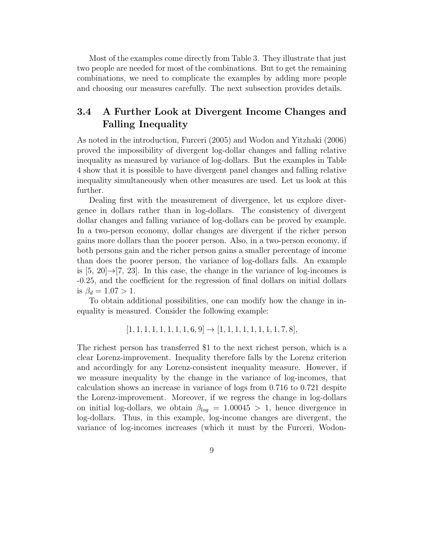Most of the examples come directly from Table 3. They illustrate that just two people are needed for most of the combinations. But to get the remaining combinations, we need to complicate the examples by adding more people and choosing our measures carefully. The next subsection provides details.

## 3.4 A Further Look at Divergent Income Changes and Falling Inequality

As noted in the introduction, Furceri (2005) and Wodon and Yitzhaki (2006) proved the impossibility of divergent log-dollar changes and falling relative inequality as measured by variance of log-dollars. But the examples in Table 4 show that it is possible to have divergent panel changes and falling relative inequality simultaneously when other measures are used. Let us look at this further.

Dealing first with the measurement of divergence, let us explore divergence in dollars rather than in log-dollars. The consistency of divergent dollar changes and falling variance of log-dollars can be proved by example. In a two-person economy, dollar changes are divergent if the richer person gains more dollars than the poorer person. Also, in a two-person economy, if both persons gain and the richer person gains a smaller percentage of income than does the poorer person, the variance of log-dollars falls. An example is  $[5, 20] \rightarrow [7, 23]$ . In this case, the change in the variance of log-incomes is -0.25, and the coefficient for the regression of final dollars on initial dollars is  $\beta_d = 1.07 > 1$ .

To obtain additional possibilities, one can modify how the change in inequality is measured. Consider the following example:

$$
[1, 1, 1, 1, 1, 1, 1, 1, 6, 9] \rightarrow [1, 1, 1, 1, 1, 1, 1, 1, 7, 8],
$$

The richest person has transferred \$1 to the next richest person, which is a clear Lorenz-improvement. Inequality therefore falls by the Lorenz criterion and accordingly for any Lorenz-consistent inequality measure. However, if we measure inequality by the change in the variance of log-incomes, that calculation shows an increase in variance of logs from 0.716 to 0.721 despite the Lorenz-improvement. Moreover, if we regress the change in log-dollars on initial log-dollars, we obtain  $\beta_{log} = 1.00045 > 1$ , hence divergence in log-dollars. Thus, in this example, log-income changes are divergent, the variance of log-incomes increases (which it must by the Furceri, Wodon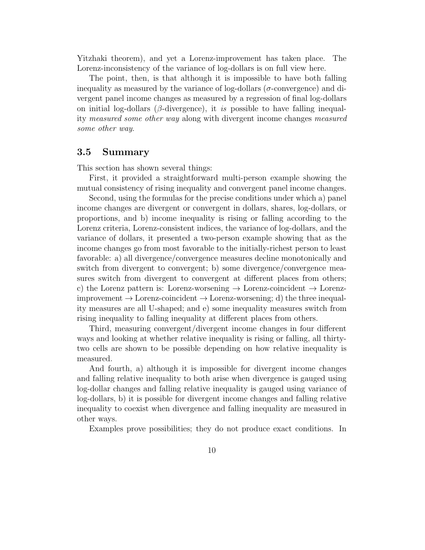Yitzhaki theorem), and yet a Lorenz-improvement has taken place. The Lorenz-inconsistency of the variance of log-dollars is on full view here.

The point, then, is that although it is impossible to have both falling inequality as measured by the variance of log-dollars ( $\sigma$ -convergence) and divergent panel income changes as measured by a regression of final log-dollars on initial log-dollars ( $\beta$ -divergence), it is possible to have falling inequality measured some other way along with divergent income changes measured some other way.

#### 3.5 Summary

This section has shown several things:

First, it provided a straightforward multi-person example showing the mutual consistency of rising inequality and convergent panel income changes.

Second, using the formulas for the precise conditions under which a) panel income changes are divergent or convergent in dollars, shares, log-dollars, or proportions, and b) income inequality is rising or falling according to the Lorenz criteria, Lorenz-consistent indices, the variance of log-dollars, and the variance of dollars, it presented a two-person example showing that as the income changes go from most favorable to the initially-richest person to least favorable: a) all divergence/convergence measures decline monotonically and switch from divergent to convergent; b) some divergence/convergence measures switch from divergent to convergent at different places from others; c) the Lorenz pattern is: Lorenz-worsening  $\rightarrow$  Lorenz-coincident  $\rightarrow$  Lorenzimprovement  $\rightarrow$  Lorenz-coincident  $\rightarrow$  Lorenz-worsening; d) the three inequality measures are all U-shaped; and e) some inequality measures switch from rising inequality to falling inequality at different places from others.

Third, measuring convergent/divergent income changes in four different ways and looking at whether relative inequality is rising or falling, all thirtytwo cells are shown to be possible depending on how relative inequality is measured.

And fourth, a) although it is impossible for divergent income changes and falling relative inequality to both arise when divergence is gauged using log-dollar changes and falling relative inequality is gauged using variance of log-dollars, b) it is possible for divergent income changes and falling relative inequality to coexist when divergence and falling inequality are measured in other ways.

Examples prove possibilities; they do not produce exact conditions. In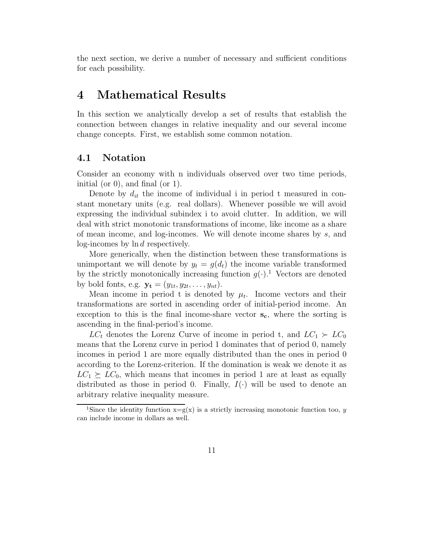the next section, we derive a number of necessary and sufficient conditions for each possibility.

## 4 Mathematical Results

In this section we analytically develop a set of results that establish the connection between changes in relative inequality and our several income change concepts. First, we establish some common notation.

## 4.1 Notation

Consider an economy with n individuals observed over two time periods, initial (or 0), and final (or 1).

Denote by  $d_{it}$  the income of individual i in period t measured in constant monetary units (e.g. real dollars). Whenever possible we will avoid expressing the individual subindex i to avoid clutter. In addition, we will deal with strict monotonic transformations of income, like income as a share of mean income, and log-incomes. We will denote income shares by s, and log-incomes by ln d respectively.

More generically, when the distinction between these transformations is unimportant we will denote by  $y_t = g(d_t)$  the income variable transformed by the strictly monotonically increasing function  $g(\cdot)$ .<sup>1</sup> Vectors are denoted by bold fonts, e.g.  $\mathbf{y_t} = (y_{1t}, y_{2t}, \dots, y_{nt}).$ 

Mean income in period t is denoted by  $\mu_t$ . Income vectors and their transformations are sorted in ascending order of initial-period income. An exception to this is the final income-share vector  $s_c$ , where the sorting is ascending in the final-period's income.

 $LC_t$  denotes the Lorenz Curve of income in period t, and  $LC_1 \succ LC_0$ means that the Lorenz curve in period 1 dominates that of period 0, namely incomes in period 1 are more equally distributed than the ones in period 0 according to the Lorenz-criterion. If the domination is weak we denote it as  $LC_1 \succeq LC_0$ , which means that incomes in period 1 are at least as equally distributed as those in period 0. Finally,  $I(\cdot)$  will be used to denote an arbitrary relative inequality measure.

<sup>&</sup>lt;sup>1</sup>Since the identity function  $x=g(x)$  is a strictly increasing monotonic function too, y can include income in dollars as well.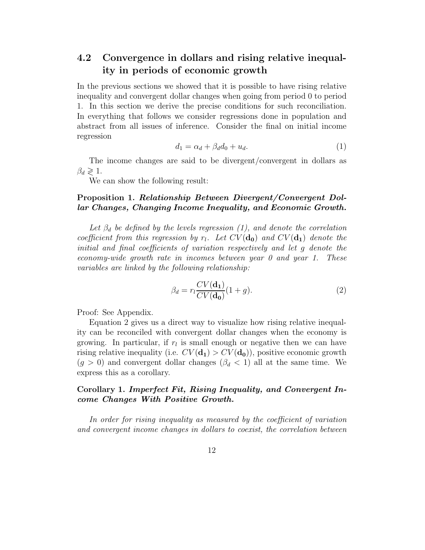## 4.2 Convergence in dollars and rising relative inequality in periods of economic growth

In the previous sections we showed that it is possible to have rising relative inequality and convergent dollar changes when going from period 0 to period 1. In this section we derive the precise conditions for such reconciliation. In everything that follows we consider regressions done in population and abstract from all issues of inference. Consider the final on initial income regression

$$
d_1 = \alpha_d + \beta_d d_0 + u_d. \tag{1}
$$

The income changes are said to be divergent/convergent in dollars as  $\beta_d \geqslant 1$ .

We can show the following result:

#### Proposition 1. Relationship Between Divergent/Convergent Dollar Changes, Changing Income Inequality, and Economic Growth.

Let  $\beta_d$  be defined by the levels regression (1), and denote the correlation coefficient from this regression by  $r_l$ . Let  $CV(\mathbf{d_0})$  and  $CV(\mathbf{d_1})$  denote the initial and final coefficients of variation respectively and let g denote the economy-wide growth rate in incomes between year  $\theta$  and year  $1$ . These variables are linked by the following relationship:

$$
\beta_d = r_l \frac{CV(\mathbf{d}_1)}{CV(\mathbf{d}_0)} (1+g). \tag{2}
$$

Proof: See Appendix.

Equation 2 gives us a direct way to visualize how rising relative inequality can be reconciled with convergent dollar changes when the economy is growing. In particular, if  $r_l$  is small enough or negative then we can have rising relative inequality (i.e.  $CV(\mathbf{d_1}) > CV(\mathbf{d_0})$ ), positive economic growth  $(g > 0)$  and convergent dollar changes  $(\beta_d < 1)$  all at the same time. We express this as a corollary.

## Corollary 1. Imperfect Fit, Rising Inequality, and Convergent Income Changes With Positive Growth.

In order for rising inequality as measured by the coefficient of variation and convergent income changes in dollars to coexist, the correlation between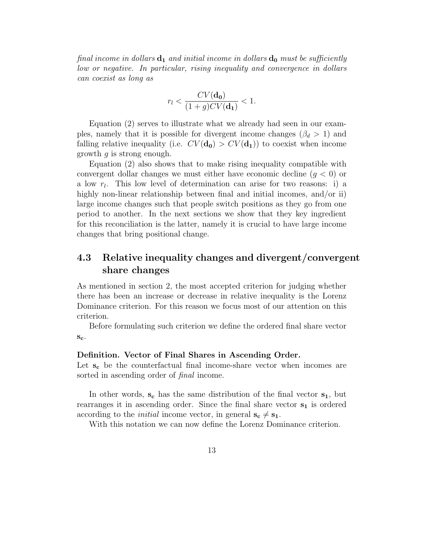final income in dollars  $\mathbf{d}_1$  and initial income in dollars  $\mathbf{d}_0$  must be sufficiently low or negative. In particular, rising inequality and convergence in dollars can coexist as long as

$$
r_l < \frac{CV(\mathbf{d_0})}{(1+g)CV(\mathbf{d_1})} < 1.
$$

Equation (2) serves to illustrate what we already had seen in our examples, namely that it is possible for divergent income changes  $(\beta_d > 1)$  and falling relative inequality (i.e.  $CV(\mathbf{d_0}) > CV(\mathbf{d_1})$ ) to coexist when income growth q is strong enough.

Equation (2) also shows that to make rising inequality compatible with convergent dollar changes we must either have economic decline  $(g < 0)$  or a low  $r_l$ . This low level of determination can arise for two reasons: i) a highly non-linear relationship between final and initial incomes, and/or ii) large income changes such that people switch positions as they go from one period to another. In the next sections we show that they key ingredient for this reconciliation is the latter, namely it is crucial to have large income changes that bring positional change.

## 4.3 Relative inequality changes and divergent/convergent share changes

As mentioned in section 2, the most accepted criterion for judging whether there has been an increase or decrease in relative inequality is the Lorenz Dominance criterion. For this reason we focus most of our attention on this criterion.

Before formulating such criterion we define the ordered final share vector  $S_{c}$ .

#### Definition. Vector of Final Shares in Ascending Order.

Let  $s_c$  be the counterfactual final income-share vector when incomes are sorted in ascending order of *final* income.

In other words,  $s_c$  has the same distribution of the final vector  $s_1$ , but rearranges it in ascending order. Since the final share vector  $s_1$  is ordered according to the *initial* income vector, in general  $s_c \neq s_1$ .

With this notation we can now define the Lorenz Dominance criterion.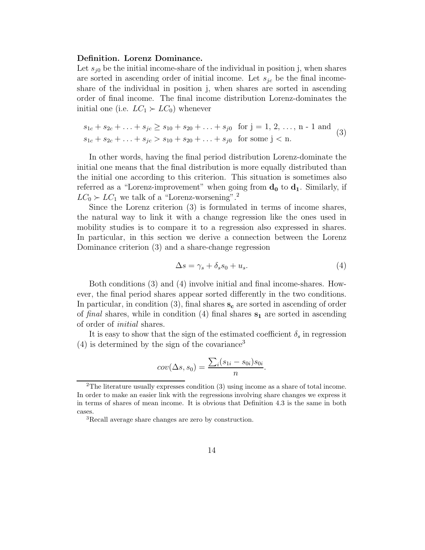#### Definition. Lorenz Dominance.

Let  $s_{i0}$  be the initial income-share of the individual in position j, when shares are sorted in ascending order of initial income. Let  $s_{jc}$  be the final incomeshare of the individual in position j, when shares are sorted in ascending order of final income. The final income distribution Lorenz-dominates the initial one (i.e.  $LC_1 \succ LC_0$ ) whenever

$$
s_{1c} + s_{2c} + \ldots + s_{jc} \ge s_{10} + s_{20} + \ldots + s_{j0} \quad \text{for } j = 1, 2, \ldots, n - 1 \text{ and } s_{1c} + s_{2c} + \ldots + s_{jc} > s_{10} + s_{20} + \ldots + s_{j0} \quad \text{for some } j < n.
$$
\n(3)

In other words, having the final period distribution Lorenz-dominate the initial one means that the final distribution is more equally distributed than the initial one according to this criterion. This situation is sometimes also referred as a "Lorenz-improvement" when going from  $\mathbf{d}_0$  to  $\mathbf{d}_1$ . Similarly, if  $LC_0 \succ LC_1$  we talk of a "Lorenz-worsening".<sup>2</sup>

Since the Lorenz criterion (3) is formulated in terms of income shares, the natural way to link it with a change regression like the ones used in mobility studies is to compare it to a regression also expressed in shares. In particular, in this section we derive a connection between the Lorenz Dominance criterion (3) and a share-change regression

$$
\Delta s = \gamma_s + \delta_s s_0 + u_s. \tag{4}
$$

Both conditions (3) and (4) involve initial and final income-shares. However, the final period shares appear sorted differently in the two conditions. In particular, in condition  $(3)$ , final shares  $s_c$  are sorted in ascending of order of final shares, while in condition (4) final shares  $s_1$  are sorted in ascending of order of initial shares.

It is easy to show that the sign of the estimated coefficient  $\delta_s$  in regression  $(4)$  is determined by the sign of the covariance<sup>3</sup>

$$
cov(\Delta s, s_0) = \frac{\sum_i (s_{1i} - s_{0i})s_{0i}}{n}.
$$

<sup>&</sup>lt;sup>2</sup>The literature usually expresses condition  $(3)$  using income as a share of total income. In order to make an easier link with the regressions involving share changes we express it in terms of shares of mean income. It is obvious that Definition 4.3 is the same in both cases.

<sup>3</sup>Recall average share changes are zero by construction.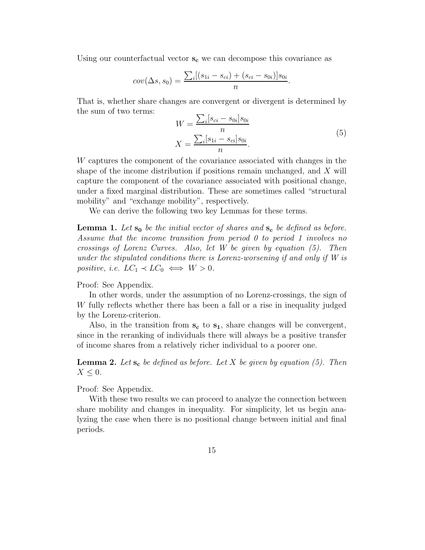Using our counterfactual vector  $s_c$  we can decompose this covariance as

$$
cov(\Delta s, s_0) = \frac{\sum_i [(s_{1i} - s_{ci}) + (s_{ci} - s_{0i})]s_{0i}}{n}.
$$

That is, whether share changes are convergent or divergent is determined by the sum of two terms:

$$
W = \frac{\sum_{i} [s_{ci} - s_{0i}] s_{0i}}{n}
$$
  

$$
X = \frac{\sum_{i} [s_{1i} - s_{ci}] s_{0i}}{n}.
$$
 (5)

W captures the component of the covariance associated with changes in the shape of the income distribution if positions remain unchanged, and X will capture the component of the covariance associated with positional change, under a fixed marginal distribution. These are sometimes called "structural mobility" and "exchange mobility", respectively.

We can derive the following two key Lemmas for these terms.

**Lemma 1.** Let  $s_0$  be the initial vector of shares and  $s_c$  be defined as before. Assume that the income transition from period 0 to period 1 involves no crossings of Lorenz Curves. Also, let W be given by equation (5). Then under the stipulated conditions there is Lorenz-worsening if and only if W is positive, i.e.  $LC_1 \prec LC_0 \iff W > 0$ .

#### Proof: See Appendix.

In other words, under the assumption of no Lorenz-crossings, the sign of W fully reflects whether there has been a fall or a rise in inequality judged by the Lorenz-criterion.

Also, in the transition from  $s_c$  to  $s_1$ , share changes will be convergent, since in the reranking of individuals there will always be a positive transfer of income shares from a relatively richer individual to a poorer one.

**Lemma 2.** Let  $s_c$  be defined as before. Let X be given by equation (5). Then  $X \leq 0$ .

Proof: See Appendix.

With these two results we can proceed to analyze the connection between share mobility and changes in inequality. For simplicity, let us begin analyzing the case when there is no positional change between initial and final periods.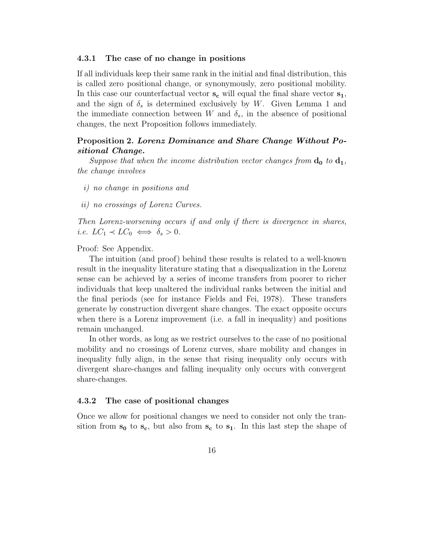#### 4.3.1 The case of no change in positions

If all individuals keep their same rank in the initial and final distribution, this is called zero positional change, or synonymously, zero positional mobility. In this case our counterfactual vector  $s_c$  will equal the final share vector  $s_1$ , and the sign of  $\delta_s$  is determined exclusively by W. Given Lemma 1 and the immediate connection between W and  $\delta_s$ , in the absence of positional changes, the next Proposition follows immediately.

#### Proposition 2. Lorenz Dominance and Share Change Without Positional Change.

Suppose that when the income distribution vector changes from  $\mathbf{d}_0$  to  $\mathbf{d}_1$ , the change involves

- i) no change in positions and
- ii) no crossings of Lorenz Curves.

Then Lorenz-worsening occurs if and only if there is divergence in shares, i.e.  $LC_1 \prec LC_0 \iff \delta_s > 0$ .

Proof: See Appendix.

The intuition (and proof) behind these results is related to a well-known result in the inequality literature stating that a disequalization in the Lorenz sense can be achieved by a series of income transfers from poorer to richer individuals that keep unaltered the individual ranks between the initial and the final periods (see for instance Fields and Fei, 1978). These transfers generate by construction divergent share changes. The exact opposite occurs when there is a Lorenz improvement (i.e. a fall in inequality) and positions remain unchanged.

In other words, as long as we restrict ourselves to the case of no positional mobility and no crossings of Lorenz curves, share mobility and changes in inequality fully align, in the sense that rising inequality only occurs with divergent share-changes and falling inequality only occurs with convergent share-changes.

#### 4.3.2 The case of positional changes

Once we allow for positional changes we need to consider not only the transition from  $s_0$  to  $s_c$ , but also from  $s_c$  to  $s_1$ . In this last step the shape of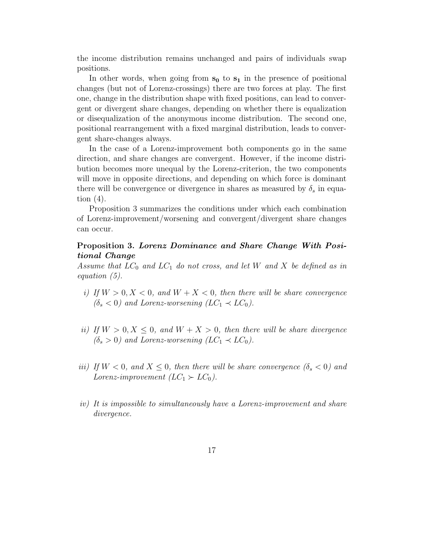the income distribution remains unchanged and pairs of individuals swap positions.

In other words, when going from  $s_0$  to  $s_1$  in the presence of positional changes (but not of Lorenz-crossings) there are two forces at play. The first one, change in the distribution shape with fixed positions, can lead to convergent or divergent share changes, depending on whether there is equalization or disequalization of the anonymous income distribution. The second one, positional rearrangement with a fixed marginal distribution, leads to convergent share-changes always.

In the case of a Lorenz-improvement both components go in the same direction, and share changes are convergent. However, if the income distribution becomes more unequal by the Lorenz-criterion, the two components will move in opposite directions, and depending on which force is dominant there will be convergence or divergence in shares as measured by  $\delta_s$  in equation  $(4)$ .

Proposition 3 summarizes the conditions under which each combination of Lorenz-improvement/worsening and convergent/divergent share changes can occur.

#### Proposition 3. Lorenz Dominance and Share Change With Positional Change

Assume that  $LC_0$  and  $LC_1$  do not cross, and let W and X be defined as in equation (5).

- i) If  $W > 0, X < 0$ , and  $W + X < 0$ , then there will be share convergence  $(\delta_s < 0)$  and Lorenz-worsening  $(LC_1 \prec LC_0)$ .
- ii) If  $W > 0, X \le 0$ , and  $W + X > 0$ , then there will be share divergence  $(\delta_s > 0)$  and Lorenz-worsening  $(LC_1 \prec LC_0)$ .
- iii) If  $W < 0$ , and  $X \leq 0$ , then there will be share convergence  $(\delta_s < 0)$  and Lorenz-improvement  $(LC_1 \succ LC_0)$ .
- iv) It is impossible to simultaneously have a Lorenz-improvement and share divergence.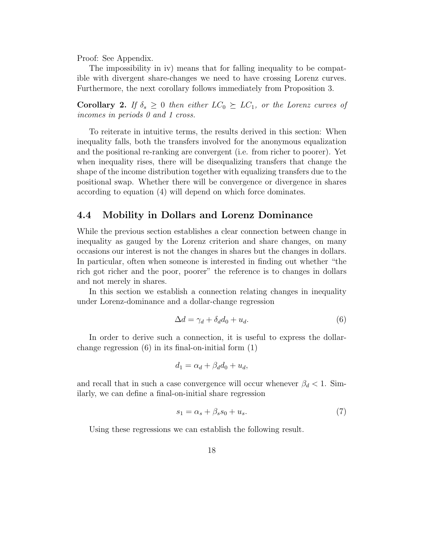Proof: See Appendix.

The impossibility in iv) means that for falling inequality to be compatible with divergent share-changes we need to have crossing Lorenz curves. Furthermore, the next corollary follows immediately from Proposition 3.

**Corollary 2.** If  $\delta_s \geq 0$  then either  $LC_0 \succeq LC_1$ , or the Lorenz curves of incomes in periods 0 and 1 cross.

To reiterate in intuitive terms, the results derived in this section: When inequality falls, both the transfers involved for the anonymous equalization and the positional re-ranking are convergent (i.e. from richer to poorer). Yet when inequality rises, there will be disequalizing transfers that change the shape of the income distribution together with equalizing transfers due to the positional swap. Whether there will be convergence or divergence in shares according to equation (4) will depend on which force dominates.

## 4.4 Mobility in Dollars and Lorenz Dominance

While the previous section establishes a clear connection between change in inequality as gauged by the Lorenz criterion and share changes, on many occasions our interest is not the changes in shares but the changes in dollars. In particular, often when someone is interested in finding out whether "the rich got richer and the poor, poorer" the reference is to changes in dollars and not merely in shares.

In this section we establish a connection relating changes in inequality under Lorenz-dominance and a dollar-change regression

$$
\Delta d = \gamma_d + \delta_d d_0 + u_d. \tag{6}
$$

In order to derive such a connection, it is useful to express the dollarchange regression  $(6)$  in its final-on-initial form  $(1)$ 

$$
d_1 = \alpha_d + \beta_d d_0 + u_d,
$$

and recall that in such a case convergence will occur whenever  $\beta_d < 1$ . Similarly, we can define a final-on-initial share regression

$$
s_1 = \alpha_s + \beta_s s_0 + u_s. \tag{7}
$$

Using these regressions we can establish the following result.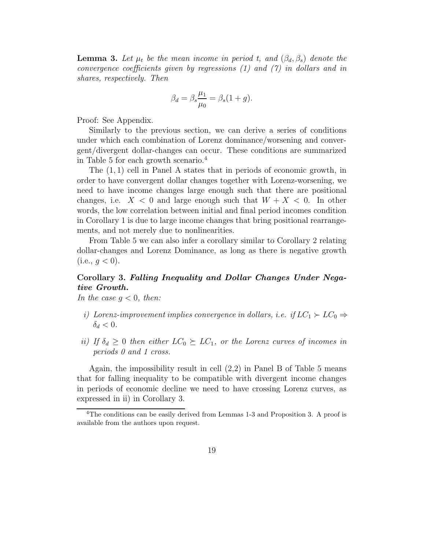**Lemma 3.** Let  $\mu_t$  be the mean income in period t, and  $(\beta_d, \beta_s)$  denote the convergence coefficients given by regressions (1) and (7) in dollars and in shares, respectively. Then

$$
\beta_d = \beta_s \frac{\mu_1}{\mu_0} = \beta_s (1+g).
$$

Proof: See Appendix.

Similarly to the previous section, we can derive a series of conditions under which each combination of Lorenz dominance/worsening and convergent/divergent dollar-changes can occur. These conditions are summarized in Table 5 for each growth scenario.<sup>4</sup>

The (1, 1) cell in Panel A states that in periods of economic growth, in order to have convergent dollar changes together with Lorenz-worsening, we need to have income changes large enough such that there are positional changes, i.e.  $X < 0$  and large enough such that  $W + X < 0$ . In other words, the low correlation between initial and final period incomes condition in Corollary 1 is due to large income changes that bring positional rearrangements, and not merely due to nonlinearities.

From Table 5 we can also infer a corollary similar to Corollary 2 relating dollar-changes and Lorenz Dominance, as long as there is negative growth  $(i.e., q < 0).$ 

## Corollary 3. Falling Inequality and Dollar Changes Under Negative Growth.

In the case  $g < 0$ , then:

- i) Lorenz-improvement implies convergence in dollars, i.e. if  $LC_1 \succ LC_0 \Rightarrow$  $\delta_d < 0$ .
- ii) If  $\delta_d \geq 0$  then either  $LC_0 \succeq LC_1$ , or the Lorenz curves of incomes in periods 0 and 1 cross.

Again, the impossibility result in cell (2,2) in Panel B of Table 5 means that for falling inequality to be compatible with divergent income changes in periods of economic decline we need to have crossing Lorenz curves, as expressed in ii) in Corollary 3.

<sup>&</sup>lt;sup>4</sup>The conditions can be easily derived from Lemmas 1-3 and Proposition 3. A proof is available from the authors upon request.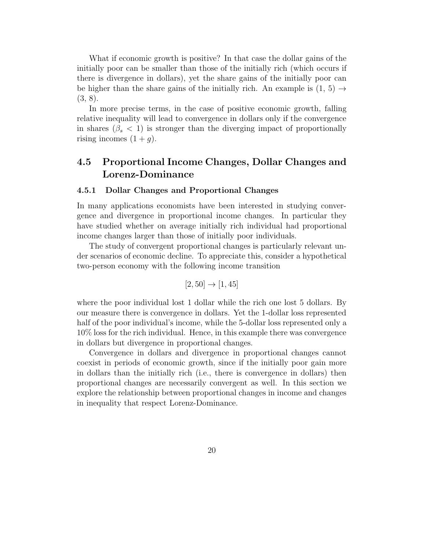What if economic growth is positive? In that case the dollar gains of the initially poor can be smaller than those of the initially rich (which occurs if there is divergence in dollars), yet the share gains of the initially poor can be higher than the share gains of the initially rich. An example is  $(1, 5) \rightarrow$ (3, 8).

In more precise terms, in the case of positive economic growth, falling relative inequality will lead to convergence in dollars only if the convergence in shares ( $\beta_s < 1$ ) is stronger than the diverging impact of proportionally rising incomes  $(1+q)$ .

## 4.5 Proportional Income Changes, Dollar Changes and Lorenz-Dominance

#### 4.5.1 Dollar Changes and Proportional Changes

In many applications economists have been interested in studying convergence and divergence in proportional income changes. In particular they have studied whether on average initially rich individual had proportional income changes larger than those of initially poor individuals.

The study of convergent proportional changes is particularly relevant under scenarios of economic decline. To appreciate this, consider a hypothetical two-person economy with the following income transition

$$
[2, 50] \to [1, 45]
$$

where the poor individual lost 1 dollar while the rich one lost 5 dollars. By our measure there is convergence in dollars. Yet the 1-dollar loss represented half of the poor individual's income, while the 5-dollar loss represented only a 10% loss for the rich individual. Hence, in this example there was convergence in dollars but divergence in proportional changes.

Convergence in dollars and divergence in proportional changes cannot coexist in periods of economic growth, since if the initially poor gain more in dollars than the initially rich (i.e., there is convergence in dollars) then proportional changes are necessarily convergent as well. In this section we explore the relationship between proportional changes in income and changes in inequality that respect Lorenz-Dominance.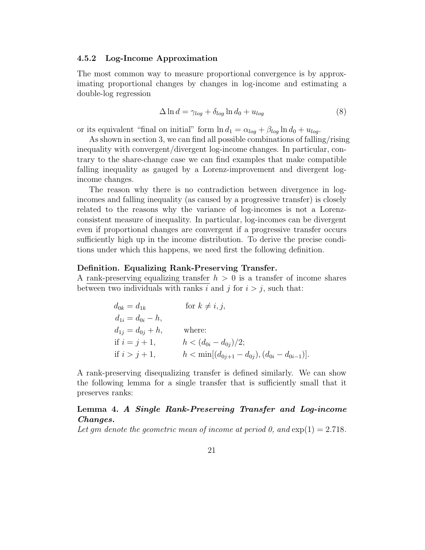#### 4.5.2 Log-Income Approximation

The most common way to measure proportional convergence is by approximating proportional changes by changes in log-income and estimating a double-log regression

$$
\Delta \ln d = \gamma_{log} + \delta_{log} \ln d_0 + u_{log} \tag{8}
$$

or its equivalent "final on initial" form  $\ln d_1 = \alpha_{log} + \beta_{log} \ln d_0 + u_{log}$ .

As shown in section 3, we can find all possible combinations of falling/rising inequality with convergent/divergent log-income changes. In particular, contrary to the share-change case we can find examples that make compatible falling inequality as gauged by a Lorenz-improvement and divergent logincome changes.

The reason why there is no contradiction between divergence in logincomes and falling inequality (as caused by a progressive transfer) is closely related to the reasons why the variance of log-incomes is not a Lorenzconsistent measure of inequality. In particular, log-incomes can be divergent even if proportional changes are convergent if a progressive transfer occurs sufficiently high up in the income distribution. To derive the precise conditions under which this happens, we need first the following definition.

#### Definition. Equalizing Rank-Preserving Transfer.

A rank-preserving equalizing transfer  $h > 0$  is a transfer of income shares between two individuals with ranks i and j for  $i > j$ , such that:

$$
d_{0k} = d_{1k} \qquad \text{for } k \neq i, j,
$$
  
\n
$$
d_{1i} = d_{0i} - h,
$$
  
\n
$$
d_{1j} = d_{0j} + h,
$$
 where:  
\nif  $i = j + 1$ ,  $h < (d_{0i} - d_{0j})/2;$   
\nif  $i > j + 1$ ,  $h < \min[(d_{0j+1} - d_{0j}), (d_{0i} - d_{0i-1})].$ 

A rank-preserving disequalizing transfer is defined similarly. We can show the following lemma for a single transfer that is sufficiently small that it preserves ranks:

## Lemma 4. A Single Rank-Preserving Transfer and Log-income Changes.

Let gm denote the geometric mean of income at period 0, and  $\exp(1) = 2.718$ .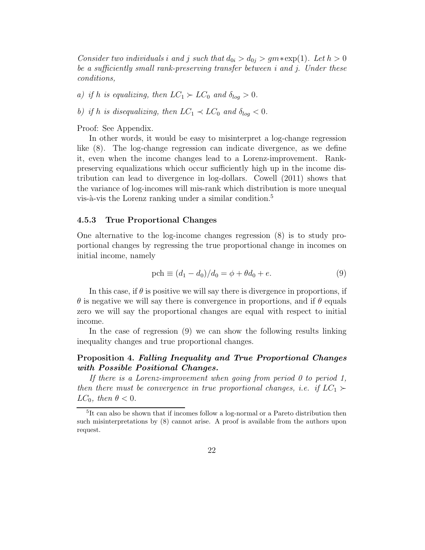Consider two individuals i and j such that  $d_{0i} > d_{0j} > gm * \exp(1)$ . Let  $h > 0$ be a sufficiently small rank-preserving transfer between i and j. Under these conditions,

a) if h is equalizing, then  $LC_1 \succ LC_0$  and  $\delta_{log} > 0$ .

b) if h is disequalizing, then  $LC_1 \prec LC_0$  and  $\delta_{log} < 0$ .

Proof: See Appendix.

In other words, it would be easy to misinterpret a log-change regression like (8). The log-change regression can indicate divergence, as we define it, even when the income changes lead to a Lorenz-improvement. Rankpreserving equalizations which occur sufficiently high up in the income distribution can lead to divergence in log-dollars. Cowell (2011) shows that the variance of log-incomes will mis-rank which distribution is more unequal vis-à-vis the Lorenz ranking under a similar condition.<sup>5</sup>

#### 4.5.3 True Proportional Changes

One alternative to the log-income changes regression (8) is to study proportional changes by regressing the true proportional change in incomes on initial income, namely

$$
\text{pch} \equiv (d_1 - d_0)/d_0 = \phi + \theta d_0 + e. \tag{9}
$$

In this case, if  $\theta$  is positive we will say there is divergence in proportions, if  $\theta$  is negative we will say there is convergence in proportions, and if  $\theta$  equals zero we will say the proportional changes are equal with respect to initial income.

In the case of regression (9) we can show the following results linking inequality changes and true proportional changes.

#### Proposition 4. Falling Inequality and True Proportional Changes with Possible Positional Changes.

If there is a Lorenz-improvement when going from period  $0$  to period 1, then there must be convergence in true proportional changes, i.e. if  $LC_1$  ≻  $LC_0$ , then  $\theta < 0$ .

<sup>&</sup>lt;sup>5</sup>It can also be shown that if incomes follow a log-normal or a Pareto distribution then such misinterpretations by (8) cannot arise. A proof is available from the authors upon request.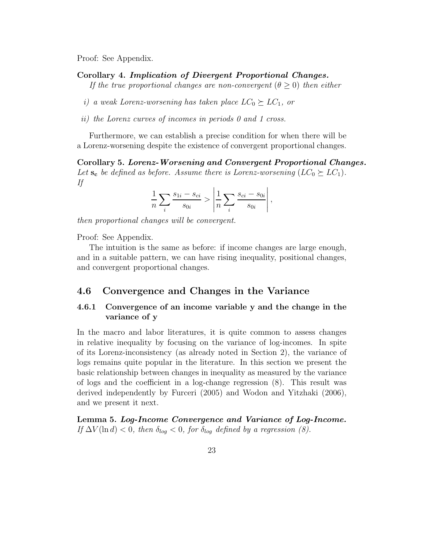Proof: See Appendix.

Corollary 4. Implication of Divergent Proportional Changes.

If the true proportional changes are non-convergent  $(\theta \geq 0)$  then either

i) a weak Lorenz-worsening has taken place  $LC_0 \succeq LC_1$ , or

ii) the Lorenz curves of incomes in periods 0 and 1 cross.

Furthermore, we can establish a precise condition for when there will be a Lorenz-worsening despite the existence of convergent proportional changes.

Corollary 5. Lorenz-Worsening and Convergent Proportional Changes. Let  $s_c$  be defined as before. Assume there is Lorenz-worsening  $(LC_0 \succeq LC_1)$ . If

$$
\frac{1}{n}\sum_{i}\frac{s_{1i}-s_{ci}}{s_{0i}}>\left|\frac{1}{n}\sum_{i}\frac{s_{ci}-s_{0i}}{s_{0i}}\right|,
$$

then proportional changes will be convergent.

Proof: See Appendix.

The intuition is the same as before: if income changes are large enough, and in a suitable pattern, we can have rising inequality, positional changes, and convergent proportional changes.

## 4.6 Convergence and Changes in the Variance

## 4.6.1 Convergence of an income variable y and the change in the variance of y

In the macro and labor literatures, it is quite common to assess changes in relative inequality by focusing on the variance of log-incomes. In spite of its Lorenz-inconsistency (as already noted in Section 2), the variance of logs remains quite popular in the literature. In this section we present the basic relationship between changes in inequality as measured by the variance of logs and the coefficient in a log-change regression (8). This result was derived independently by Furceri (2005) and Wodon and Yitzhaki (2006), and we present it next.

Lemma 5. Log-Income Convergence and Variance of Log-Income. If  $\Delta V(\ln d) < 0$ , then  $\delta_{log} < 0$ , for  $\delta_{log}$  defined by a regression (8).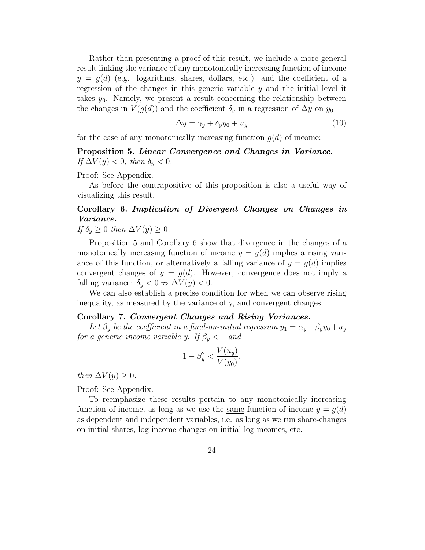Rather than presenting a proof of this result, we include a more general result linking the variance of any monotonically increasing function of income  $y = q(d)$  (e.g. logarithms, shares, dollars, etc.) and the coefficient of a regression of the changes in this generic variable  $\gamma$  and the initial level it takes  $y_0$ . Namely, we present a result concerning the relationship between the changes in  $V(g(d))$  and the coefficient  $\delta_y$  in a regression of  $\Delta y$  on  $y_0$ 

$$
\Delta y = \gamma_y + \delta_y y_0 + u_y \tag{10}
$$

for the case of any monotonically increasing function  $q(d)$  of income:

Proposition 5. Linear Convergence and Changes in Variance. If  $\Delta V(y) < 0$ , then  $\delta_y < 0$ .

Proof: See Appendix.

As before the contrapositive of this proposition is also a useful way of visualizing this result.

## Corollary 6. Implication of Divergent Changes on Changes in Variance.

If  $\delta_y \geq 0$  then  $\Delta V(y) \geq 0$ .

Proposition 5 and Corollary 6 show that divergence in the changes of a monotonically increasing function of income  $y = q(d)$  implies a rising variance of this function, or alternatively a falling variance of  $y = g(d)$  implies convergent changes of  $y = g(d)$ . However, convergence does not imply a falling variance:  $\delta_y < 0 \Rightarrow \Delta V(y) < 0$ .

We can also establish a precise condition for when we can observe rising inequality, as measured by the variance of y, and convergent changes.

#### Corollary 7. Convergent Changes and Rising Variances.

Let  $\beta_y$  be the coefficient in a final-on-initial regression  $y_1 = \alpha_y + \beta_y y_0 + u_y$ for a generic income variable y. If  $\beta_y < 1$  and

$$
1 - \beta_y^2 < \frac{V(u_y)}{V(y_0)},
$$

then  $\Delta V(y) \geq 0$ .

Proof: See Appendix.

To reemphasize these results pertain to any monotonically increasing function of income, as long as we use the same function of income  $y = g(d)$ as dependent and independent variables, i.e. as long as we run share-changes on initial shares, log-income changes on initial log-incomes, etc.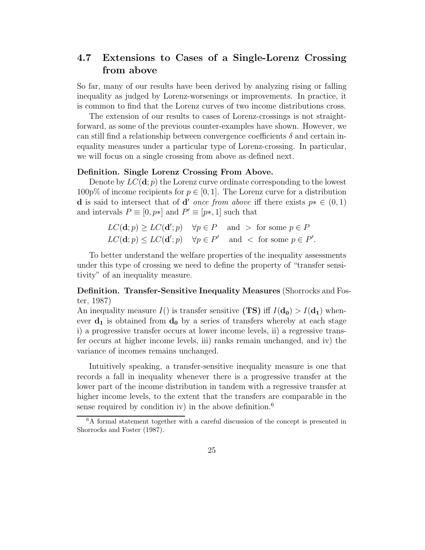## 4.7 Extensions to Cases of a Single-Lorenz Crossing from above

So far, many of our results have been derived by analyzing rising or falling inequality as judged by Lorenz-worsenings or improvements. In practice, it is common to find that the Lorenz curves of two income distributions cross.

The extension of our results to cases of Lorenz-crossings is not straightforward, as some of the previous counter-examples have shown. However, we can still find a relationship between convergence coefficients  $\delta$  and certain inequality measures under a particular type of Lorenz-crossing. In particular, we will focus on a single crossing from above as defined next.

#### Definition. Single Lorenz Crossing From Above.

Denote by  $LC(\mathbf{d};p)$  the Lorenz curve ordinate corresponding to the lowest  $100p\%$  of income recipients for  $p \in [0, 1]$ . The Lorenz curve for a distribution **d** is said to intersect that of **d'** once from above iff there exists  $p * \in (0, 1)$ and intervals  $P \equiv [0, p*]$  and  $P' \equiv [p*, 1]$  such that

$$
LC(\mathbf{d}; p) \ge LC(\mathbf{d}'; p) \quad \forall p \in P \quad \text{and} \quad \text{for some } p \in P
$$
\n
$$
LC(\mathbf{d}; p) \le LC(\mathbf{d}'; p) \quad \forall p \in P' \quad \text{and} \quad \text{for some } p \in P'.
$$

To better understand the welfare properties of the inequality assessments under this type of crossing we need to define the property of "transfer sensitivity" of an inequality measure.

Definition. Transfer-Sensitive Inequality Measures (Shorrocks and Foster, 1987)

An inequality measure  $I()$  is transfer sensitive (TS) iff  $I(\mathbf{d_0}) > I(\mathbf{d_1})$  whenever  $\mathbf{d}_1$  is obtained from  $\mathbf{d}_0$  by a series of transfers whereby at each stage i) a progressive transfer occurs at lower income levels, ii) a regressive transfer occurs at higher income levels, iii) ranks remain unchanged, and iv) the variance of incomes remains unchanged.

Intuitively speaking, a transfer-sensitive inequality measure is one that records a fall in inequality whenever there is a progressive transfer at the lower part of the income distribution in tandem with a regressive transfer at higher income levels, to the extent that the transfers are comparable in the sense required by condition iv) in the above definition.<sup>6</sup>

<sup>6</sup>A formal statement together with a careful discussion of the concept is presented in Shorrocks and Foster (1987).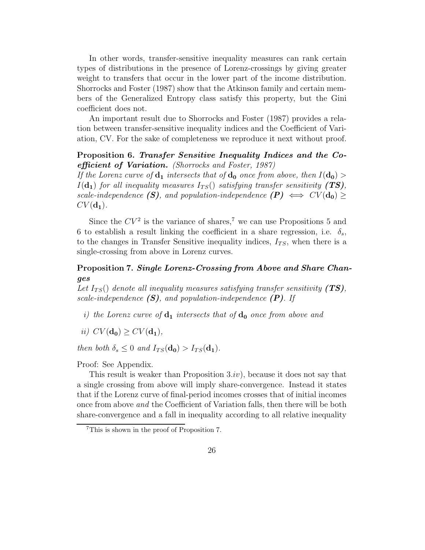In other words, transfer-sensitive inequality measures can rank certain types of distributions in the presence of Lorenz-crossings by giving greater weight to transfers that occur in the lower part of the income distribution. Shorrocks and Foster (1987) show that the Atkinson family and certain members of the Generalized Entropy class satisfy this property, but the Gini coefficient does not.

An important result due to Shorrocks and Foster (1987) provides a relation between transfer-sensitive inequality indices and the Coefficient of Variation, CV. For the sake of completeness we reproduce it next without proof.

#### Proposition 6. Transfer Sensitive Inequality Indices and the Coefficient of Variation. (Shorrocks and Foster, 1987)

If the Lorenz curve of  $\mathbf{d}_1$  intersects that of  $\mathbf{d}_0$  once from above, then  $I(\mathbf{d}_0)$  $I(\mathbf{d_1})$  for all inequality measures  $I_{TS}()$  satisfying transfer sensitivity (TS), scale-independence (S), and population-independence  $(P) \iff CV(d_0) \ge$  $CV(\mathbf{d_1}).$ 

Since the  $CV^2$  is the variance of shares,<sup>7</sup> we can use Propositions 5 and 6 to establish a result linking the coefficient in a share regression, i.e.  $\delta_s$ , to the changes in Transfer Sensitive inequality indices,  $I_{TS}$ , when there is a single-crossing from above in Lorenz curves.

#### Proposition 7. Single Lorenz-Crossing from Above and Share Changes

Let  $I_{TS}()$  denote all inequality measures satisfying transfer sensitivity (TS), scale-independence  $(S)$ , and population-independence  $(P)$ . If

- i) the Lorenz curve of  $\mathbf{d}_1$  intersects that of  $\mathbf{d}_0$  once from above and
- ii)  $CV(\mathbf{d_0}) \geq CV(\mathbf{d_1})$ ,

then both  $\delta_s \leq 0$  and  $I_{TS}(\mathbf{d_0}) > I_{TS}(\mathbf{d_1})$ .

Proof: See Appendix.

This result is weaker than Proposition  $3(iv)$ , because it does not say that a single crossing from above will imply share-convergence. Instead it states that if the Lorenz curve of final-period incomes crosses that of initial incomes once from above and the Coefficient of Variation falls, then there will be both share-convergence and a fall in inequality according to all relative inequality

<sup>7</sup>This is shown in the proof of Proposition 7.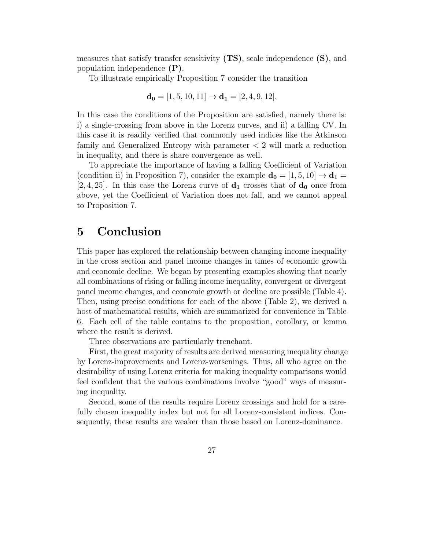measures that satisfy transfer sensitivity  $(TS)$ , scale independence  $(S)$ , and population independence (P).

To illustrate empirically Proposition 7 consider the transition

$$
\mathbf{d_0} = [1, 5, 10, 11] \rightarrow \mathbf{d_1} = [2, 4, 9, 12].
$$

In this case the conditions of the Proposition are satisfied, namely there is: i) a single-crossing from above in the Lorenz curves, and ii) a falling CV. In this case it is readily verified that commonly used indices like the Atkinson family and Generalized Entropy with parameter  $\lt 2$  will mark a reduction in inequality, and there is share convergence as well.

To appreciate the importance of having a falling Coefficient of Variation (condition ii) in Proposition 7), consider the example  $\mathbf{d_0} = [1, 5, 10] \rightarrow \mathbf{d_1} =$ [2, 4, 25]. In this case the Lorenz curve of  $\mathbf{d}_1$  crosses that of  $\mathbf{d}_0$  once from above, yet the Coefficient of Variation does not fall, and we cannot appeal to Proposition 7.

## 5 Conclusion

This paper has explored the relationship between changing income inequality in the cross section and panel income changes in times of economic growth and economic decline. We began by presenting examples showing that nearly all combinations of rising or falling income inequality, convergent or divergent panel income changes, and economic growth or decline are possible (Table 4). Then, using precise conditions for each of the above (Table 2), we derived a host of mathematical results, which are summarized for convenience in Table 6. Each cell of the table contains to the proposition, corollary, or lemma where the result is derived.

Three observations are particularly trenchant.

First, the great majority of results are derived measuring inequality change by Lorenz-improvements and Lorenz-worsenings. Thus, all who agree on the desirability of using Lorenz criteria for making inequality comparisons would feel confident that the various combinations involve "good" ways of measuring inequality.

Second, some of the results require Lorenz crossings and hold for a carefully chosen inequality index but not for all Lorenz-consistent indices. Consequently, these results are weaker than those based on Lorenz-dominance.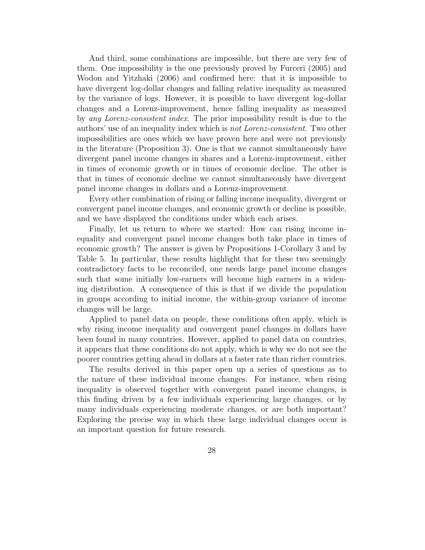And third, some combinations are impossible, but there are very few of them. One impossibility is the one previously proved by Furceri (2005) and Wodon and Yitzhaki (2006) and confirmed here: that it is impossible to have divergent log-dollar changes and falling relative inequality as measured by the variance of logs. However, it is possible to have divergent log-dollar changes and a Lorenz-improvement, hence falling inequality as measured by any Lorenz-consistent index. The prior impossibility result is due to the authors' use of an inequality index which is not Lorenz-consistent. Two other impossibilities are ones which we have proven here and were not previously in the literature (Proposition 3). One is that we cannot simultaneously have divergent panel income changes in shares and a Lorenz-improvement, either in times of economic growth or in times of economic decline. The other is that in times of economic decline we cannot simultaneously have divergent panel income changes in dollars and a Lorenz-improvement.

Every other combination of rising or falling income inequality, divergent or convergent panel income changes, and economic growth or decline is possible, and we have displayed the conditions under which each arises.

Finally, let us return to where we started: How can rising income inequality and convergent panel income changes both take place in times of economic growth? The answer is given by Propositions 1-Corollary 3 and by Table 5. In particular, these results highlight that for these two seemingly contradictory facts to be reconciled, one needs large panel income changes such that some initially low-earners will become high earners in a widening distribution. A consequence of this is that if we divide the population in groups according to initial income, the within-group variance of income changes will be large.

Applied to panel data on people, these conditions often apply, which is why rising income inequality and convergent panel changes in dollars have been found in many countries. However, applied to panel data on countries, it appears that these conditions do not apply, which is why we do not see the poorer countries getting ahead in dollars at a faster rate than richer countries.

The results derived in this paper open up a series of questions as to the nature of these individual income changes. For instance, when rising inequality is observed together with convergent panel income changes, is this finding driven by a few individuals experiencing large changes, or by many individuals experiencing moderate changes, or are both important? Exploring the precise way in which these large individual changes occur is an important question for future research.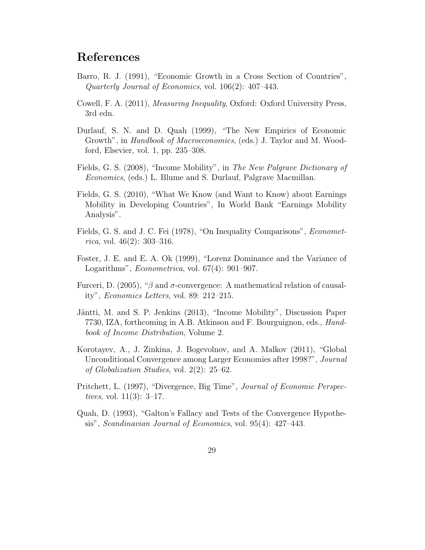## References

- Barro, R. J. (1991), "Economic Growth in a Cross Section of Countries", Quarterly Journal of Economics, vol. 106(2): 407–443.
- Cowell, F. A. (2011), Measuring Inequality, Oxford: Oxford University Press, 3rd edn.
- Durlauf, S. N. and D. Quah (1999), "The New Empirics of Economic Growth", in *Handbook of Macroeconomics*, (eds.) J. Taylor and M. Woodford, Elsevier, vol. 1, pp. 235–308.
- Fields, G. S. (2008), "Income Mobility", in The New Palgrave Dictionary of Economics, (eds.) L. Blume and S. Durlauf, Palgrave Macmillan.
- Fields, G. S. (2010), "What We Know (and Want to Know) about Earnings Mobility in Developing Countries", In World Bank "Earnings Mobility Analysis".
- Fields, G. S. and J. C. Fei (1978), "On Inequality Comparisons", *Econometrica*, vol. 46(2): 303-316.
- Foster, J. E. and E. A. Ok (1999), "Lorenz Dominance and the Variance of Logarithms", *Econometrica*, vol. 67(4): 901–907.
- Furceri, D. (2005), " $\beta$  and  $\sigma$ -convergence: A mathematical relation of causality", Economics Letters, vol. 89: 212–215.
- Jäntti, M. and S. P. Jenkins (2013), "Income Mobility", Discussion Paper 7730, IZA, forthcoming in A.B. Atkinson and F. Bourguignon, eds., Handbook of Income Distribution, Volume 2.
- Korotayev, A., J. Zinkina, J. Bogevolnov, and A. Malkov (2011), "Global Unconditional Convergence among Larger Economies after 1998?", Journal of Globalization Studies, vol. 2(2): 25–62.
- Pritchett, L. (1997), "Divergence, Big Time", Journal of Economic Perspec*tives*, vol.  $11(3)$ : 3–17.
- Quah, D. (1993), "Galton's Fallacy and Tests of the Convergence Hypothesis", Scandinavian Journal of Economics, vol. 95(4): 427–443.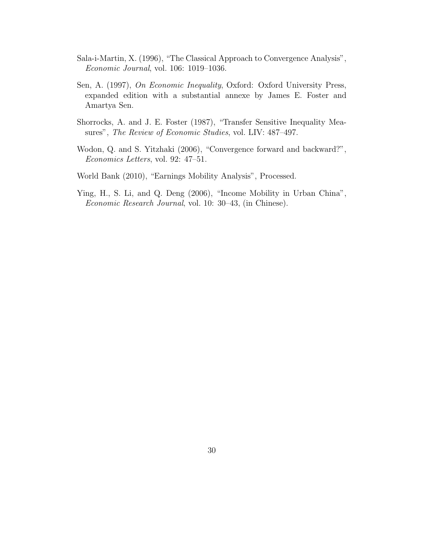- Sala-i-Martin, X. (1996), "The Classical Approach to Convergence Analysis", Economic Journal, vol. 106: 1019–1036.
- Sen, A. (1997), On Economic Inequality, Oxford: Oxford University Press, expanded edition with a substantial annexe by James E. Foster and Amartya Sen.
- Shorrocks, A. and J. E. Foster (1987), "Transfer Sensitive Inequality Measures", The Review of Economic Studies, vol. LIV: 487–497.
- Wodon, Q. and S. Yitzhaki (2006), "Convergence forward and backward?", Economics Letters, vol. 92: 47–51.
- World Bank (2010), "Earnings Mobility Analysis", Processed.
- Ying, H., S. Li, and Q. Deng (2006), "Income Mobility in Urban China", Economic Research Journal, vol. 10: 30–43, (in Chinese).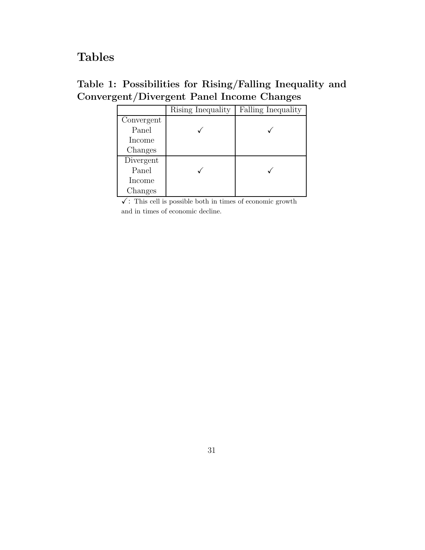## Tables

| Table 1: Possibilities for Rising/Falling Inequality and |  |  |  |
|----------------------------------------------------------|--|--|--|
| Convergent/Divergent Panel Income Changes                |  |  |  |

|            | Rising Inequality | Falling Inequality |
|------------|-------------------|--------------------|
| Convergent |                   |                    |
| Panel      |                   |                    |
| Income     |                   |                    |
| Changes    |                   |                    |
| Divergent  |                   |                    |
| Panel      |                   |                    |
| Income     |                   |                    |
| Changes    |                   |                    |

 $\checkmark$ : This cell is possible both in times of economic growth and in times of economic decline.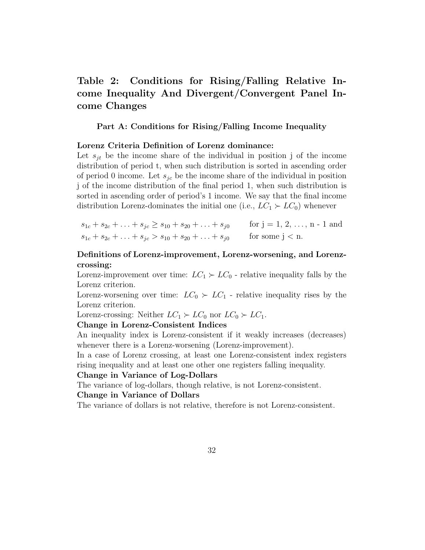## Table 2: Conditions for Rising/Falling Relative Income Inequality And Divergent/Convergent Panel Income Changes

#### Part A: Conditions for Rising/Falling Income Inequality

#### Lorenz Criteria Definition of Lorenz dominance:

Let  $s_{it}$  be the income share of the individual in position j of the income distribution of period t, when such distribution is sorted in ascending order of period 0 income. Let  $s_{ic}$  be the income share of the individual in position j of the income distribution of the final period 1, when such distribution is sorted in ascending order of period's 1 income. We say that the final income distribution Lorenz-dominates the initial one (i.e.,  $LC_1 \succ LC_0$ ) whenever

 $s_{1c} + s_{2c} + \ldots + s_{jc} \geq s_{10} + s_{20} + \ldots + s_{j0}$  for  $j = 1, 2, \ldots, n - 1$  and  $s_{1c} + s_{2c} + \ldots + s_{jc} > s_{10} + s_{20} + \ldots + s_{j0}$  for some j < n.

#### Definitions of Lorenz-improvement, Lorenz-worsening, and Lorenzcrossing:

Lorenz-improvement over time:  $LC_1 \succ LC_0$  - relative inequality falls by the Lorenz criterion.

Lorenz-worsening over time:  $LC_0 \succ LC_1$  - relative inequality rises by the Lorenz criterion.

Lorenz-crossing: Neither  $LC_1 \succ LC_0$  nor  $LC_0 \succ LC_1$ .

#### Change in Lorenz-Consistent Indices

An inequality index is Lorenz-consistent if it weakly increases (decreases) whenever there is a Lorenz-worsening (Lorenz-improvement).

In a case of Lorenz crossing, at least one Lorenz-consistent index registers rising inequality and at least one other one registers falling inequality.

#### Change in Variance of Log-Dollars

The variance of log-dollars, though relative, is not Lorenz-consistent.

#### Change in Variance of Dollars

The variance of dollars is not relative, therefore is not Lorenz-consistent.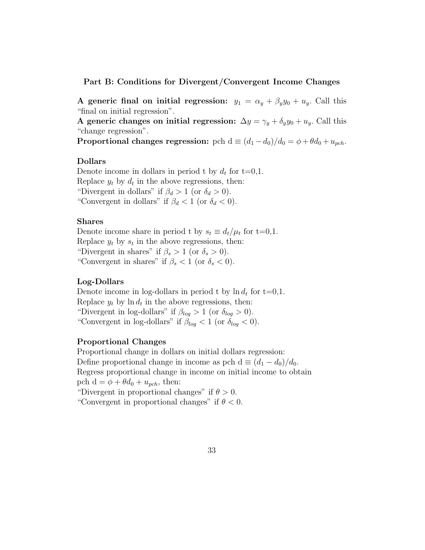Part B: Conditions for Divergent/Convergent Income Changes

A generic final on initial regression:  $y_1 = \alpha_y + \beta_y y_0 + u_y$ . Call this "final on initial regression".

A generic changes on initial regression:  $\Delta y = \gamma_y + \delta_y y_0 + u_y$ . Call this "change regression".

**Proportional changes regression:** pch  $d \equiv (d_1 - d_0)/d_0 = \phi + \theta d_0 + u_{pch}$ .

#### Dollars

Denote income in dollars in period t by  $d_t$  for t=0,1. Replace  $y_t$  by  $d_t$  in the above regressions, then: "Divergent in dollars" if  $\beta_d > 1$  (or  $\delta_d > 0$ ). "Convergent in dollars" if  $\beta_d < 1$  (or  $\delta_d < 0$ ).

#### Shares

Denote income share in period t by  $s_t \equiv d_t/\mu_t$  for t=0,1. Replace  $y_t$  by  $s_t$  in the above regressions, then: "Divergent in shares" if  $\beta_s > 1$  (or  $\delta_s > 0$ ). "Convergent in shares" if  $\beta_s < 1$  (or  $\delta_s < 0$ ).

#### Log-Dollars

Denote income in log-dollars in period t by  $\ln d_t$  for t=0,1. Replace  $y_t$  by  $\ln d_t$  in the above regressions, then: "Divergent in log-dollars" if  $\beta_{log} > 1$  (or  $\delta_{log} > 0$ ). "Convergent in log-dollars" if  $\beta_{log} < 1$  (or  $\delta_{log} < 0$ ).

#### Proportional Changes

Proportional change in dollars on initial dollars regression: Define proportional change in income as pch d  $\equiv (d_1 - d_0)/d_0$ . Regress proportional change in income on initial income to obtain pch  $d = \phi + \theta d_0 + u_{pch}$ , then:

"Divergent in proportional changes" if  $\theta > 0$ . "Convergent in proportional changes" if  $\theta < 0$ .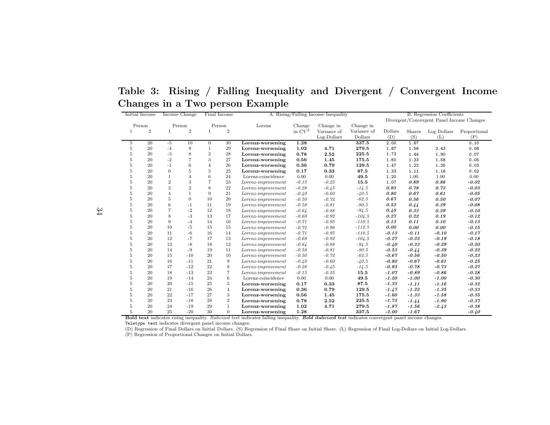Table 3: Rising / Falling Inequality and Divergent / Convergent IncomeChanges in <sup>a</sup> Two person Example

|         | Initial Income |                | Income Change<br>Final Income |                |                |                                                                                                                                                      | A. Rising/Falling Income Inequality |             |             |         | <b>B.</b> Regression Coefficients |                                           |              |
|---------|----------------|----------------|-------------------------------|----------------|----------------|------------------------------------------------------------------------------------------------------------------------------------------------------|-------------------------------------|-------------|-------------|---------|-----------------------------------|-------------------------------------------|--------------|
|         |                |                |                               |                |                |                                                                                                                                                      |                                     |             |             |         |                                   | Divergent/Convergent Panel Income Changes |              |
|         | Person         |                | Person                        |                | Person         | Lorenz                                                                                                                                               | Change                              | Change in   | Change in   |         |                                   |                                           |              |
| 1       | $\overline{2}$ | $\mathbf{1}$   | $\overline{2}$                | $\mathbf{1}$   | $\overline{2}$ |                                                                                                                                                      | in $CV^2$                           | Variance of | Variance of | Dollars | Shares                            | Log Dollars                               | Proportional |
|         |                |                |                               |                |                |                                                                                                                                                      |                                     | Log-Dollars | Dollars     | (D)     | (S)                               | (L)                                       | (P)          |
| 5       | 20             | $-5$           | 10                            | $\overline{0}$ | 30             | Lorenz-worsening                                                                                                                                     | 1.28                                |             | 337.5       | 2.00    | 1.67                              |                                           | 0.10         |
| $\bf 5$ | 20             | $-4$           | 9                             | $\mathbf{1}$   | 29             | Lorenz-worsening                                                                                                                                     | 1.02                                | 4.71        | 279.5       | 1.87    | 1.56                              | 2.43                                      | 0.08         |
| 5       | 20             | $-3$           | 8                             | $\overline{2}$ | 28             | Lorenz-worsening                                                                                                                                     | 0.78                                | 2.52        | 225.5       | 1.73    | 1.44                              | 1.90                                      | 0.07         |
| 5       | 20             | $-2$           | $\overline{7}$                | 3              | 27             | Lorenz-worsening                                                                                                                                     | 0.56                                | 1.45        | 175.5       | 1.60    | 1.33                              | 1.58                                      | 0.05         |
| 5       | 20             | $-1$           | 6                             | $\overline{4}$ | 26             | Lorenz-worsening                                                                                                                                     | 0.36                                | 0.79        | 129.5       | 1.47    | 1.22                              | 1.35                                      | 0.03         |
| 5       | 20             | $\overline{0}$ | 5                             | $\overline{5}$ | 25             | Lorenz-worsening                                                                                                                                     | 0.17                                | 0.33        | 87.5        | 1.33    | 1.11                              | 1.16                                      | 0.02         |
| 5       | 20             | $\mathbf{1}$   | $\overline{4}$                | 6              | 24             | Lorenz-coincidence                                                                                                                                   | 0.00                                | 0.00        | 49.5        | 1.20    | 1.00                              | 1.00                                      | 0.00         |
| 5       | 20             | $\overline{2}$ | 3                             | $\overline{7}$ | 23             | $Lorenz-improvement$                                                                                                                                 | $-0.15$                             | $-0.25$     | 15.5        | 1.07    | 0.89                              | 0.86                                      | $-0.02$      |
| 5       | 20             | 3              | $\overline{2}$                | 8              | 22             | $Lorenz-improvement$                                                                                                                                 | $-0.28$                             | $-0.45$     | $-14.5$     | 0.93    | 0.78                              | 0.73                                      | $-0.03$      |
| 5       | 20             | $\overline{4}$ | $\mathbf{1}$                  | 9              | 21             | $Lorenz-improvement$                                                                                                                                 | $-0.40$                             | $-0.60$     | $-40.5$     | 0.80    | 0.67                              | 0.61                                      | $-0.05$      |
| 5       | 20             | $\overline{5}$ | $\Omega$                      | 10             | 20             | $Lorenz-improvement$                                                                                                                                 | $-0.50$                             | $-0.72$     | $-62.5$     | 0.67    | 0.56                              | 0.50                                      | $-0.07$      |
| 5       | 20             | 6              | $-1$                          | 11             | 19             | $Lorenz-improvement$                                                                                                                                 | $-0.58$                             | $-0.81$     | $-80.5$     | 0.53    | 0.44                              | 0.39                                      | $-0.08$      |
| 5       | 20             | $\overline{7}$ | $-2$                          | 12             | 18             | $Lorenz-improvement$                                                                                                                                 | $-0.64$                             | $-0.88$     | $-94.5$     | 0.40    | 0.33                              | 0.29                                      | $-0.10$      |
| 5       | 20             | 8              | $-3$                          | 13             | 17             | $Lorenz-improvement$                                                                                                                                 | $-0.68$                             | $-0.92$     | $-104.5$    | 0.27    | 0.22                              | 0.19                                      | $-0.12$      |
| 5       | 20             | 9              | $-4$                          | 14             | 16             | $Lorenz-improvement$                                                                                                                                 | $-0.71$                             | $-0.95$     | $-110.5$    | 0.13    | 0.11                              | 0.10                                      | $-0.13$      |
| 5       | 20             | 10             | $-5$                          | 15             | 15             | $Lorenz-improvement$                                                                                                                                 | $-0.72$                             | $-0.96$     | $-112.5$    | 0.00    | 0.00                              | 0.00                                      | $-0.15$      |
| 5       | 20             | 11             | $-6$                          | 16             | 14             | $Lorenz-improvement$                                                                                                                                 | $-0.71$                             | $-0.95$     | $-110.5$    | $-0.13$ | $-0.11$                           | $-0.10$                                   | $-0.17$      |
| 5       | 20             | 12             | $-7$                          | 17             | 13             | $Lorenz-improvement$                                                                                                                                 | $-0.68$                             | $-0.92$     | $-104.5$    | $-0.27$ | $-0.22$                           | $-0.19$                                   | $-0.18$      |
| 5       | 20             | 13             | $-8$                          | 18             | 12             | $Lorenz-improvement$                                                                                                                                 | $-0.64$                             | $-0.88$     | $-94.5$     | $-0.40$ | $-0.33$                           | $-0.29$                                   | $-0.20$      |
| 5       | 20             | 14             | $-9$                          | 19             | 11             | $Lorenz-improvement$                                                                                                                                 | $-0.58$                             | $-0.81$     | $-80.5$     | $-0.53$ | $-0.44$                           | $-0.39$                                   | $-0.22$      |
| 5       | 20             | 15             | $-10$                         | 20             | 10             | $Lorenz-improvement$                                                                                                                                 | $-0.50$                             | $-0.72$     | $-62.5$     | $-0.67$ | $-0.56$                           | $-0.50$                                   | $-0.23$      |
| 5       | 20             | 16             | $-11$                         | 21             | 9              | $Lorenz-improvement$                                                                                                                                 | $-0.40$                             | $-0.60$     | $-40.5$     | $-0.80$ | $-0.67$                           | $-0.61$                                   | $-0.25$      |
| 5       | 20             | 17             | $-12$                         | 22             | 8              | $Lorenz-improvement$                                                                                                                                 | $-0.28$                             | $-0.45$     | $-14.5$     | $-0.93$ | $-0.78$                           | $-0.73$                                   | $-0.27$      |
| 5       | 20             | 18             | $-13$                         | 23             | $\overline{7}$ | $Lorenz-improvement$                                                                                                                                 | $-0.15$                             | $-0.25$     | 15.5        | $-1.07$ | $-0.89$                           | $-0.86$                                   | $-0.28$      |
| 5       | 20             | 19             | $-14$                         | 24             | 6              | Lorenz-coincidence                                                                                                                                   | 0.00                                | 0.00        | 49.5        | $-1.20$ | $-1.00$                           | $-1.00$                                   | $-0.30$      |
| 5       | 20             | 20             | $-15$                         | 25             | 5              | Lorenz-worsening                                                                                                                                     | 0.17                                | 0.33        | 87.5        | $-1.33$ | $-1.11$                           | $-1.16$                                   | $-0.32$      |
| 5       | 20             | 21             | $-16$                         | 26             | $\overline{4}$ | Lorenz-worsening                                                                                                                                     | 0.36                                | 0.79        | 129.5       | $-1.47$ | $-1.22$                           | $-1.35$                                   | $-0.33$      |
| 5       | 20             | 22             | $-17$                         | 27             | 3              | Lorenz-worsening                                                                                                                                     | 0.56                                | 1.45        | 175.5       | $-1.60$ | $-1.33$                           | $-1.58$                                   | $-0.35$      |
| 5       | 20             | 23             | $-18$                         | 28             | $\overline{2}$ | Lorenz-worsening                                                                                                                                     | 0.78                                | 2.52        | 225.5       | $-1.73$ | $-1.44$                           | $-1.90$                                   | $-0.37$      |
| 5       | 20             | 24             | $-19$                         | 29             | $\mathbf{1}$   | Lorenz-worsening                                                                                                                                     | 1.02                                | 4.71        | 279.5       | $-1.87$ | $-1.56$                           | $-2.43$                                   | $-0.38$      |
| 5       | 20             | 25             | $-20$                         | 30             | $\Omega$       | Lorenz-worsening                                                                                                                                     | 1.28                                |             | 337.5       | $-2.00$ | $-1.67$                           |                                           | $-0.40$      |
|         |                |                |                               |                |                | Bold text indicates rising inequality. Italicized text indicates falling inequality. Bold italicized text indicates convergent panel income changes. |                                     |             |             |         |                                   |                                           |              |

Teletype text indicates divergent pane<sup>l</sup> income changes.

(D) Regression of Final Dollars on Initial Dollars. (S) Regression of Final Share on Initial Share. (L) Regression of Final Log-Dollars on Initial Log-Dollars.

(P) Regression of Proportional Changes on Initial Dollars.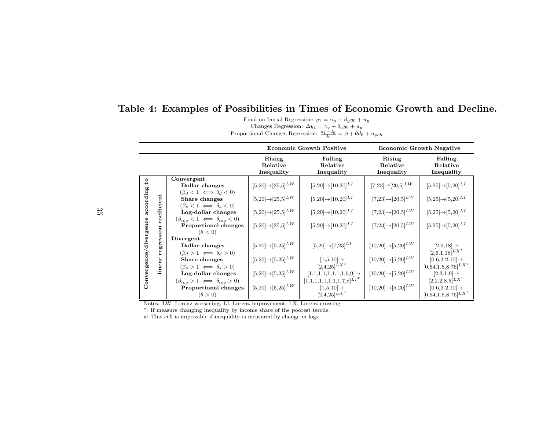|  | Table 4: Examples of Possibilities in Times of Economic Growth and Decline. |                                                                   |  |  |
|--|-----------------------------------------------------------------------------|-------------------------------------------------------------------|--|--|
|  |                                                                             | Final on Initial Regression: $u_1 = \alpha_u + \beta_u u_0 + u_u$ |  |  |

Final on Initial Regression:  $y_1 = \alpha_y + \beta_y y_0 + u_y$ <br>Changes Regression:  $\Delta y_1 = \gamma_y + \delta_y y_0 + u_y$ 

Proportional Changes Regression:  $\frac{d_1-d_0}{d_0}$  $=\phi + \theta d_0 + u_{pch}$ 

|                        |             |                                                                                         |                                          | <b>Economic Growth Positive</b>                                                                      |                                           | <b>Economic Growth Negative</b>             |
|------------------------|-------------|-----------------------------------------------------------------------------------------|------------------------------------------|------------------------------------------------------------------------------------------------------|-------------------------------------------|---------------------------------------------|
|                        |             |                                                                                         | Rising<br>Relative<br>Inequality         | Falling<br>Relative<br>Inequality                                                                    | Rising<br>Relative<br>Inequality          | Falling<br>Relative<br>Inequality           |
| $\mathbf{c}_4$         |             | Convergent                                                                              |                                          |                                                                                                      |                                           |                                             |
|                        |             | Dollar changes                                                                          | $[5,20] \rightarrow [25,5]^{LW}$         | $[5,20] \rightarrow [10,20]^{LI}$                                                                    | $[7,23] \rightarrow [20,5]^{LW}$          | $[5,\!25]\!\!\rightarrow\!\! [5,\!20]^{LI}$ |
| according              |             | $(\beta_d < 1 \iff \delta_d < 0)$<br>Share changes<br>$(\beta_s < 1 \iff \delta_s < 0)$ | $[5,\!20]\!\!\rightarrow\![25,\!5]^{LW}$ | $[5,20] \rightarrow [10,20]^{LI}$                                                                    | $[7,23] \rightarrow [20,5]^{LW}$          | $[5,\!25]\!\!\rightarrow\!\! [5,\!20]^{LI}$ |
|                        | coefficient | Log-dollar changes<br>$(\beta_{log} < 1 \iff \delta_{log} < 0)$                         | $[5,20] \rightarrow [25,5]^{LW}$         | $[5,20] \rightarrow [10,20]^{LI}$                                                                    | $[7,23] \rightarrow [20,5]^{LW}$          | $[5,\!25]\!\!\rightarrow\!\! [5,\!20]^{LI}$ |
| Convergence/divergence | ession      | Proportional changes<br>$(\theta < 0)$                                                  | $[5,20] \rightarrow [25,5]^{LW}$         | $[5,20] \rightarrow [10,20]^{LI}$                                                                    | $[7,23]{\rightarrow}[20,5]^{LW}$          | $[5,25] \rightarrow [5,20]^{LI}$            |
|                        |             | Divergent                                                                               |                                          |                                                                                                      |                                           |                                             |
|                        | egr         | Dollar changes                                                                          | $[5,20] \rightarrow [5,25]^{LW}$         | $[5,\!20]\!\rightarrow\![7,\!23]^{L I}$                                                              | $[10,20] \rightarrow [5,20]^{LW}$         | $[2,9,18] \rightarrow$                      |
|                        |             | $(\beta_d > 1 \iff \delta_d > 0)$                                                       |                                          |                                                                                                      |                                           | $[2,6.1,18]^{LX*}$                          |
|                        |             | Share changes                                                                           | $[5,\!20]\!\!\rightarrow\![5,\!25]^{LW}$ | $[1,5,10] \rightarrow$                                                                               | $[10,\!20]\!\!\rightarrow\![5,\!20]^{LW}$ | $[0.6, 3.2, 10] \rightarrow$                |
|                        | linear      | $(\beta_s > 1 \iff \delta_s > 0)$                                                       |                                          | $[2,4,25]^{LX^*}$                                                                                    |                                           | $[0.54, 1.5, 8.76]^{L X^*}$                 |
|                        |             | Log-dollar changes                                                                      | $[5,\!20]\!\!\rightarrow\![5,\!25]^{LW}$ | $\begin{array}{c} [1,1,1,1,1,1,1,1,6,9] {\rightarrow} \\ {[1,1,1,1,1,1,1,1,7,8]}^{L1^x} \end{array}$ | $[10,\!20]\!\!\rightarrow\![5,\!20]^{LW}$ | $[2,3.1,9] \rightarrow$                     |
|                        |             | $(\beta_{log} > 1 \iff \delta_{log} > 0)$                                               |                                          |                                                                                                      |                                           | $[2,2.2,8.5]^{LX*}$                         |
|                        |             | Proportional changes                                                                    | $[5,20] \rightarrow [5,25]^{LW}$         | $[1,\!5,\!10]\!\rightarrow$                                                                          | $[10,\!20]\!\!\rightarrow\![5,\!20]^{LW}$ | $[0.6, 3.2, 10] \rightarrow$                |
|                        |             | $(\theta > 0)$                                                                          |                                          | $[2,4,25]$ $LX^*$                                                                                    |                                           | $[0.54, 1.5, 8.76]^{L X*}$                  |

Notes: LW: Lorenz worsening, LI: Lorenz improvement, LX: Lorenz crossing

\*: If measure changing inequality by income share of the poorest tercile.

x: This cell is impossible if inequality is measured by change in logs.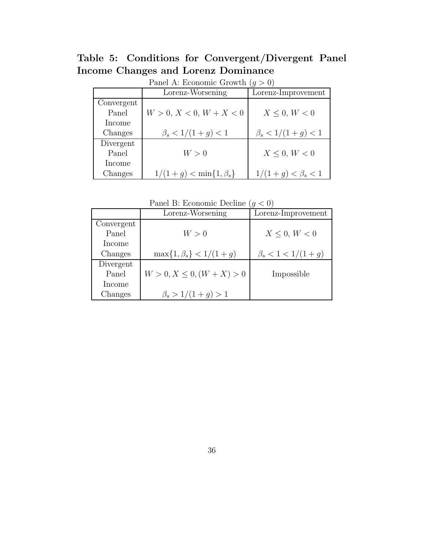Table 5: Conditions for Convergent/Divergent Panel Income Changes and Lorenz Dominance

|            | Panel A: ECONOMIC Growth $(q > 0)$ |                         |
|------------|------------------------------------|-------------------------|
|            | Lorenz-Worsening                   | Lorenz-Improvement      |
| Convergent |                                    |                         |
| Panel      | $W > 0, X < 0, W + X < 0$          | $X \leq 0, W < 0$       |
| Income     |                                    |                         |
| Changes    | $\beta_s < 1/(1+g) < 1$            | $\beta_s < 1/(1+g) < 1$ |
| Divergent  |                                    |                         |
| Panel      | W>0                                | $X \leq 0, W < 0$       |
| Income     |                                    |                         |
| Changes    | $1/(1+g) < \min\{1,\beta_s\}$      | $1/(1+g) < \beta_s < 1$ |

Panel  $\Lambda$ : Economic Growth  $(a > 0)$ 

| Panel B: Economic Decline $(g < 0)$ |  |  |  |  |
|-------------------------------------|--|--|--|--|
|-------------------------------------|--|--|--|--|

|            | Lorenz-Worsening               | Lorenz-Improvement      |
|------------|--------------------------------|-------------------------|
| Convergent |                                |                         |
| Panel      | W>0                            | $X \leq 0, W \leq 0$    |
| Income     |                                |                         |
| Changes    | $\max\{1,\beta_s\} < 1/(1+g)$  | $\beta_s < 1 < 1/(1+g)$ |
| Divergent  |                                |                         |
| Panel      | $W > 0, X \leq 0, (W + X) > 0$ | Impossible              |
| Income     |                                |                         |
| Changes    | $\beta_s > 1/(1+q) > 1$        |                         |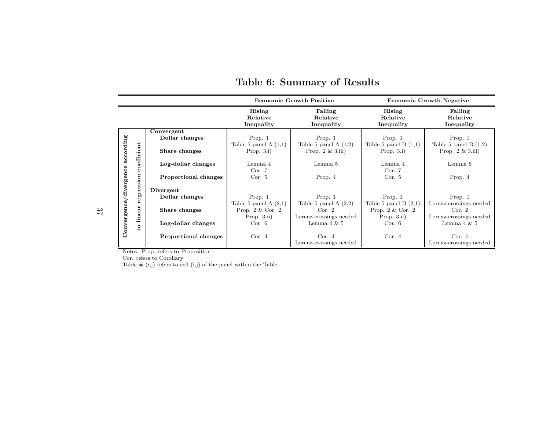|                        |              |                             |                                  | <b>Economic Growth Positive</b>   |                                  | <b>Economic Growth Negative</b>   |
|------------------------|--------------|-----------------------------|----------------------------------|-----------------------------------|----------------------------------|-----------------------------------|
|                        |              |                             | Rising<br>Relative<br>Inequality | Falling<br>Relative<br>Inequality | Rising<br>Relative<br>Inequality | Falling<br>Relative<br>Inequality |
|                        |              | Convergent                  |                                  |                                   |                                  |                                   |
|                        |              | Dollar changes              | Prop. $1$                        | Prop. $1$                         | Prop. $1$                        | Prop. $1$                         |
|                        |              |                             | Table 5 panel A $(1,1)$          | Table 5 panel A $(1,2)$           | Table 5 panel B $(1,1)$          | Table 5 panel B $(1,2)$           |
|                        |              | Share changes               | Prop. $3.i$ )                    | Prop. $2 \& 3.iii$                | Prop. $3.i$ )                    | Prop. $2 \& 3.iii$                |
| according              | efficient    |                             |                                  |                                   |                                  |                                   |
|                        |              | Log-dollar changes          | Lemma 4                          | Lemma 5                           | Lemma 4                          | Lemma 5                           |
|                        | Š            |                             | Cor. 7                           |                                   | Cor. 7                           |                                   |
|                        |              | <b>Proportional changes</b> | Cor. 5                           | Prop. 4                           | Cor. 5                           | Prop. $4$                         |
| Convergence/divergence | egression    | Divergent                   |                                  |                                   |                                  |                                   |
|                        |              | Dollar changes              | Prop. $1$                        | Prop. $1$                         | Prop. $1$                        | Prop. 1                           |
|                        |              |                             | Table 5 panel A $(2,1)$          | Table 5 panel A $(2,2)$           | Table 5 panel B $(2,1)$          | Lorenz-crossings needed           |
|                        |              | Share changes               | Prop. $2 \&$ Cor. $2$            | Cor. 2                            | Prop. $2 \&$ Cor. $2$            | Cor. 2                            |
|                        | linear       |                             | Prop. $3.ii)$                    | Lorenz-crossings needed           | Prop. $3.ii)$                    | Lorenz-crossings needed           |
|                        |              | Log-dollar changes          | Cor. 6                           | Lemma $4 \& 5$                    | Cor. 6                           | Lemma $4 \& 5$                    |
|                        | $\mathbf{S}$ |                             |                                  |                                   |                                  |                                   |
|                        |              | <b>Proportional changes</b> | Cor. 4                           | Cor. 4                            | Cor. 4                           | Cor. 4                            |
|                        |              |                             |                                  | Lorenz-crossings needed           |                                  | Lorenz-crossings needed           |

## Table 6: Summary of Results

Notes: Prop. refers to Proposition

Cor. refers to Corollary<br>Table  $\#$  (i,j) refers to cell (i,j) of the panel within the Table.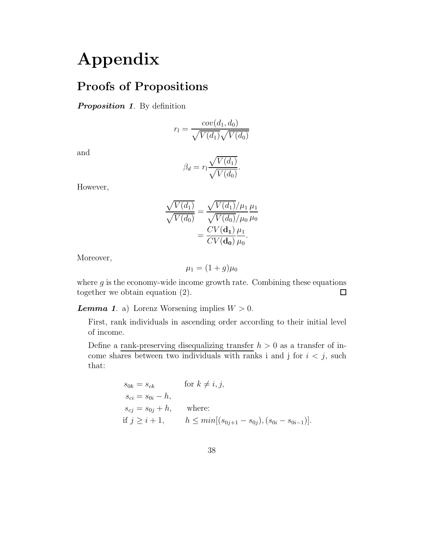# Appendix

## Proofs of Propositions

## Proposition 1. By definition

$$
r_l = \frac{cov(d_1, d_0)}{\sqrt{V(d_1)}\sqrt{V(d_0)}}
$$

and

$$
\beta_d = r_l \frac{\sqrt{V(d_1)}}{\sqrt{V(d_0)}}.
$$

However,

$$
\frac{\sqrt{V(d_1)}}{\sqrt{V(d_0)}} = \frac{\sqrt{V(d_1)}/\mu_1}{\sqrt{V(d_0)}/\mu_0} \frac{\mu_1}{\mu_0} \n= \frac{CV(\mathbf{d_1})}{CV(\mathbf{d_0})} \frac{\mu_1}{\mu_0}.
$$

Moreover,

$$
\mu_1 = (1+g)\mu_0
$$

where  $g$  is the economy-wide income growth rate. Combining these equations together we obtain equation (2).  $\Box$ 

**Lemma 1.** a) Lorenz Worsening implies  $W > 0$ .

First, rank individuals in ascending order according to their initial level of income.

Define a rank-preserving disequalizing transfer  $h > 0$  as a transfer of income shares between two individuals with ranks i and j for  $i < j$ , such that:

$$
s_{0k} = s_{ck} \qquad \text{for } k \neq i, j,
$$
  
\n
$$
s_{ci} = s_{0i} - h,
$$
  
\n
$$
s_{cj} = s_{0j} + h, \qquad \text{where:}
$$
  
\nif  $j \geq i + 1$ ,  $h \leq min[(s_{0j+1} - s_{0j}), (s_{0i} - s_{0i-1})].$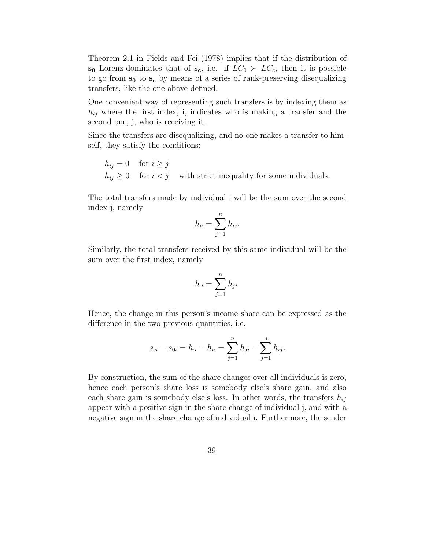Theorem 2.1 in Fields and Fei (1978) implies that if the distribution of s<sub>0</sub> Lorenz-dominates that of s<sub>c</sub>, i.e. if  $LC_0 \succ LC_c$ , then it is possible to go from  $s_0$  to  $s_c$  by means of a series of rank-preserving disequalizing transfers, like the one above defined.

One convenient way of representing such transfers is by indexing them as  $h_{ij}$  where the first index, i, indicates who is making a transfer and the second one, j, who is receiving it.

Since the transfers are disequalizing, and no one makes a transfer to himself, they satisfy the conditions:

 $h_{ij} = 0$  for  $i \geq j$  $h_{ij} \geq 0$  for  $i < j$  with strict inequality for some individuals.

The total transfers made by individual i will be the sum over the second index j, namely

$$
h_{i\cdot} = \sum_{j=1}^n h_{ij}.
$$

Similarly, the total transfers received by this same individual will be the sum over the first index, namely

$$
h_{\cdot i} = \sum_{j=1}^{n} h_{ji}.
$$

Hence, the change in this person's income share can be expressed as the difference in the two previous quantities, i.e.

$$
s_{ci} - s_{0i} = h_{\cdot i} - h_{i\cdot} = \sum_{j=1}^{n} h_{ji} - \sum_{j=1}^{n} h_{ij}.
$$

By construction, the sum of the share changes over all individuals is zero, hence each person's share loss is somebody else's share gain, and also each share gain is somebody else's loss. In other words, the transfers  $h_{ij}$ appear with a positive sign in the share change of individual j, and with a negative sign in the share change of individual i. Furthermore, the sender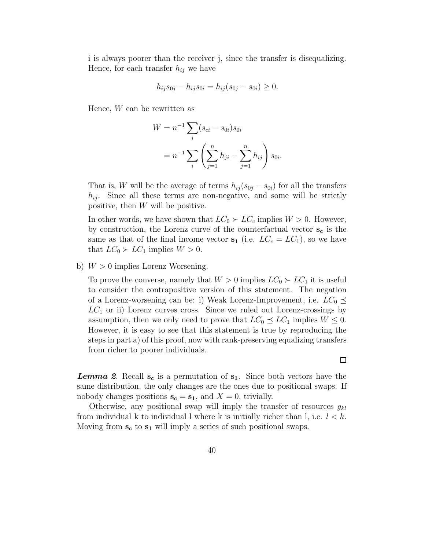i is always poorer than the receiver j, since the transfer is disequalizing. Hence, for each transfer  $h_{ij}$  we have

$$
h_{ij}s_{0j} - h_{ij}s_{0i} = h_{ij}(s_{0j} - s_{0i}) \ge 0.
$$

Hence, W can be rewritten as

$$
W = n^{-1} \sum_{i} (s_{ci} - s_{0i}) s_{0i}
$$
  
=  $n^{-1} \sum_{i} \left( \sum_{j=1}^{n} h_{ji} - \sum_{j=1}^{n} h_{ij} \right) s_{0i}.$ 

That is, W will be the average of terms  $h_{ij}(s_{0j} - s_{0i})$  for all the transfers  $h_{ij}$ . Since all these terms are non-negative, and some will be strictly positive, then W will be positive.

In other words, we have shown that  $LC_0 \succ LC_c$  implies  $W > 0$ . However, by construction, the Lorenz curve of the counterfactual vector  $s_c$  is the same as that of the final income vector  $s_1$  (i.e.  $LC_c = LC_1$ ), so we have that  $LC_0 \succ LC_1$  implies  $W > 0$ .

b)  $W > 0$  implies Lorenz Worsening.

To prove the converse, namely that  $W > 0$  implies  $LC_0 \succ LC_1$  it is useful to consider the contrapositive version of this statement. The negation of a Lorenz-worsening can be: i) Weak Lorenz-Improvement, i.e.  $LC_0 \preceq$  $LC_1$  or ii) Lorenz curves cross. Since we ruled out Lorenz-crossings by assumption, then we only need to prove that  $LC_0 \preceq LC_1$  implies  $W \leq 0$ . However, it is easy to see that this statement is true by reproducing the steps in part a) of this proof, now with rank-preserving equalizing transfers from richer to poorer individuals.

**Lemma 2.** Recall  $s_c$  is a permutation of  $s_1$ . Since both vectors have the same distribution, the only changes are the ones due to positional swaps. If nobody changes positions  $\mathbf{s_c} = \mathbf{s_1}$ , and  $X = 0$ , trivially.

Otherwise, any positional swap will imply the transfer of resources  $g_{kl}$ from individual k to individual l where k is initially richer than l, i.e.  $l < k$ . Moving from  $s_c$  to  $s_1$  will imply a series of such positional swaps.

 $\Box$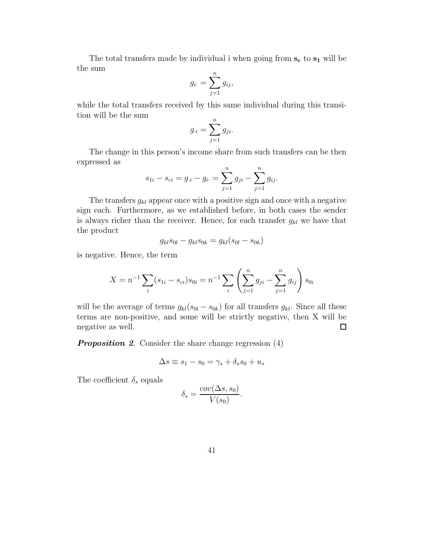The total transfers made by individual i when going from  $s_c$  to  $s_1$  will be the sum

$$
g_{i\cdot} = \sum_{j=1}^n g_{ij},
$$

while the total transfers received by this same individual during this transition will be the sum

$$
g_{\cdot i} = \sum_{j=1}^{n} g_{ji}.
$$

The change in this person's income share from such transfers can be then expressed as

$$
s_{1i} - s_{ci} = g_{\cdot i} - g_{i\cdot} = \sum_{j=1}^{n} g_{ji} - \sum_{j=1}^{n} g_{ij}.
$$

The transfers  $g_{kl}$  appear once with a positive sign and once with a negative sign each. Furthermore, as we established before, in both cases the sender is always richer than the receiver. Hence, for each transfer  $g_{kl}$  we have that the product

$$
g_{kl} s_{0l} - g_{kl} s_{0k} = g_{kl} (s_{0l} - s_{0k})
$$

is negative. Hence, the term

$$
X = n^{-1} \sum_{i} (s_{1i} - s_{ci}) s_{0i} = n^{-1} \sum_{i} \left( \sum_{j=1}^{n} g_{ji} - \sum_{j=1}^{n} g_{ij} \right) s_{0i}
$$

will be the average of terms  $g_{kl}(s_{0l} - s_{0k})$  for all transfers  $g_{kl}$ . Since all these terms are non-positive, and some will be strictly negative, then X will be  $\Box$ negative as well.

**Proposition 2.** Consider the share change regression (4)

$$
\Delta s \equiv s_1 - s_0 = \gamma_s + \delta_s s_0 + u_s
$$

The coefficient  $\delta_s$  equals

$$
\delta_s = \frac{cov(\Delta s, s_0)}{V(s_0)}.
$$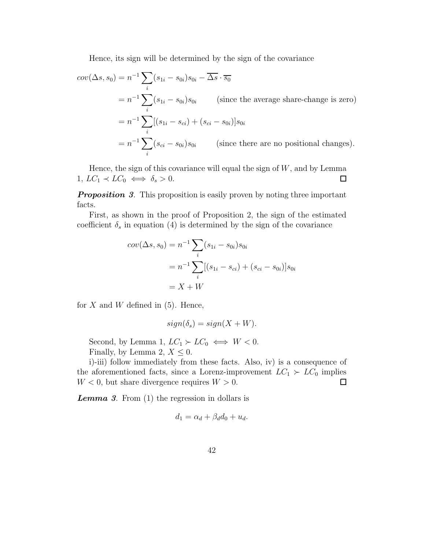Hence, its sign will be determined by the sign of the covariance

$$
cov(\Delta s, s_0) = n^{-1} \sum_i (s_{1i} - s_{0i}) s_{0i} - \overline{\Delta s} \cdot \overline{s_0}
$$
  
=  $n^{-1} \sum_i (s_{1i} - s_{0i}) s_{0i}$  (since the average share-change is zero)  
=  $n^{-1} \sum_i [(s_{1i} - s_{ci}) + (s_{ci} - s_{0i})] s_{0i}$   
=  $n^{-1} \sum_i (s_{ci} - s_{0i}) s_{0i}$  (since there are no positional changes).

Hence, the sign of this covariance will equal the sign of  $W$ , and by Lemma 1,  $LC_1 \prec LC_0 \iff \delta_s > 0$ .  $\Box$ 

**Proposition 3.** This proposition is easily proven by noting three important facts.

First, as shown in the proof of Proposition 2, the sign of the estimated coefficient  $\delta_s$  in equation (4) is determined by the sign of the covariance

$$
cov(\Delta s, s_0) = n^{-1} \sum_{i} (s_{1i} - s_{0i}) s_{0i}
$$
  
=  $n^{-1} \sum_{i} [(s_{1i} - s_{ci}) + (s_{ci} - s_{0i})] s_{0i}$   
=  $X + W$ 

for  $X$  and  $W$  defined in (5). Hence,

$$
sign(\delta_s) = sign(X + W).
$$

Second, by Lemma 1,  $LC_1 \succ LC_0 \iff W < 0$ . Finally, by Lemma 2,  $X \leq 0$ .

i)-iii) follow immediately from these facts. Also, iv) is a consequence of the aforementioned facts, since a Lorenz-improvement  $LC_1 \succ LC_0$  implies  $W < 0$ , but share divergence requires  $W > 0$ .  $\Box$ 

**Lemma 3.** From  $(1)$  the regression in dollars is

$$
d_1 = \alpha_d + \beta_d d_0 + u_d.
$$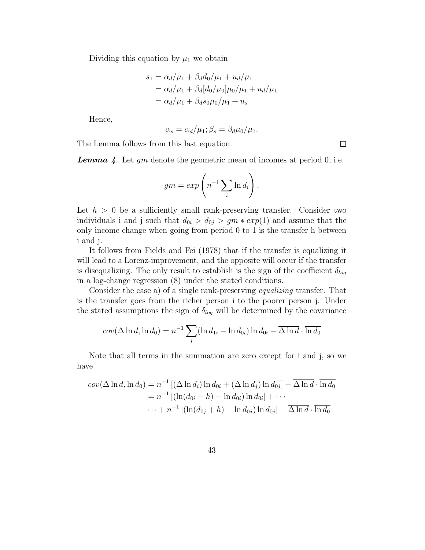Dividing this equation by  $\mu_1$  we obtain

$$
s_1 = \alpha_d/\mu_1 + \beta_d d_0/\mu_1 + u_d/\mu_1
$$
  
=  $\alpha_d/\mu_1 + \beta_d [d_0/\mu_0]\mu_0/\mu_1 + u_d/\mu_1$   
=  $\alpha_d/\mu_1 + \beta_d s_0 \mu_0/\mu_1 + u_s$ .

Hence,

$$
\alpha_s = \alpha_d/\mu_1; \beta_s = \beta_d \mu_0/\mu_1.
$$

 $\Box$ 

The Lemma follows from this last equation.

**Lemma** 4. Let  $gm$  denote the geometric mean of incomes at period 0, i.e.

$$
gm = exp\left(n^{-1} \sum_{i} \ln d_i\right).
$$

Let  $h > 0$  be a sufficiently small rank-preserving transfer. Consider two individuals i and j such that  $d_{0i} > d_{0j} > gm * exp(1)$  and assume that the only income change when going from period 0 to 1 is the transfer h between i and j.

It follows from Fields and Fei (1978) that if the transfer is equalizing it will lead to a Lorenz-improvement, and the opposite will occur if the transfer is disequalizing. The only result to establish is the sign of the coefficient  $\delta_{log}$ in a log-change regression (8) under the stated conditions.

Consider the case a) of a single rank-preserving equalizing transfer. That is the transfer goes from the richer person i to the poorer person j. Under the stated assumptions the sign of  $\delta_{log}$  will be determined by the covariance

$$
cov(\Delta \ln d, \ln d_0) = n^{-1} \sum_i (\ln d_{1i} - \ln d_{0i}) \ln d_{0i} - \overline{\Delta \ln d} \cdot \overline{\ln d_0}
$$

Note that all terms in the summation are zero except for i and j, so we have

$$
cov(\Delta \ln d, \ln d_0) = n^{-1} [(\Delta \ln d_i) \ln d_{0i} + (\Delta \ln d_j) \ln d_{0j}] - \overline{\Delta \ln d} \cdot \overline{\ln d_0}
$$
  
=  $n^{-1} [(\ln(d_{0i} - h) - \ln d_{0i}) \ln d_{0i}] + \cdots$   
 $\cdots + n^{-1} [(\ln(d_{0j} + h) - \ln d_{0j}) \ln d_{0j}] - \overline{\Delta \ln d} \cdot \overline{\ln d_0}$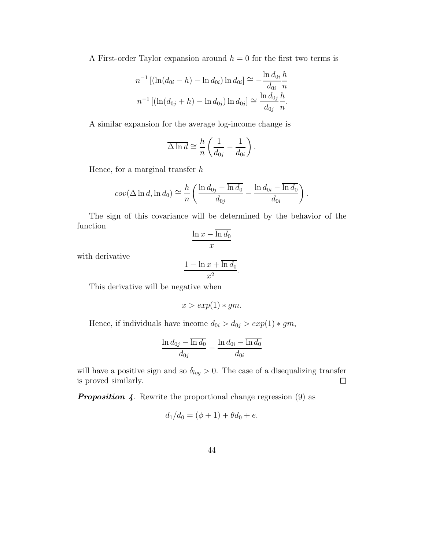A First-order Taylor expansion around  $h = 0$  for the first two terms is

$$
n^{-1} [(\ln(d_{0i} - h) - \ln d_{0i}) \ln d_{0i}] \approx -\frac{\ln d_{0i}}{d_{0i}} \frac{h}{n}
$$
  

$$
n^{-1} [(\ln(d_{0j} + h) - \ln d_{0j}) \ln d_{0j}] \approx \frac{\ln d_{0j}}{d_{0j}} \frac{h}{n}.
$$

A similar expansion for the average log-income change is

$$
\overline{\Delta \ln d} \cong \frac{h}{n} \left( \frac{1}{d_{0j}} - \frac{1}{d_{0i}} \right).
$$

Hence, for a marginal transfer  $h$ 

$$
cov(\Delta \ln d, \ln d_0) \cong \frac{h}{n} \left( \frac{\ln d_{0j} - \overline{\ln d_0}}{d_{0j}} - \frac{\ln d_{0i} - \overline{\ln d_0}}{d_{0i}} \right)
$$

.

The sign of this covariance will be determined by the behavior of the function

$$
\frac{\ln x - \overline{\ln d_0}}{x}
$$

with derivative

$$
\frac{1 - \ln x + \overline{\ln d_0}}{x^2}.
$$

This derivative will be negative when

$$
x > exp(1) * gm.
$$

Hence, if individuals have income  $d_{0i} > d_{0j} > exp(1) * gm$ ,

$$
\frac{\ln d_{0j}-\overline{\ln d_0}}{d_{0j}}-\frac{\ln d_{0i}-\overline{\ln d_0}}{d_{0i}}
$$

will have a positive sign and so  $\delta_{log} > 0$ . The case of a disequalizing transfer is proved similarly.  $\Box$ 

**Proposition 4.** Rewrite the proportional change regression  $(9)$  as

$$
d_1/d_0 = (\phi + 1) + \theta d_0 + e.
$$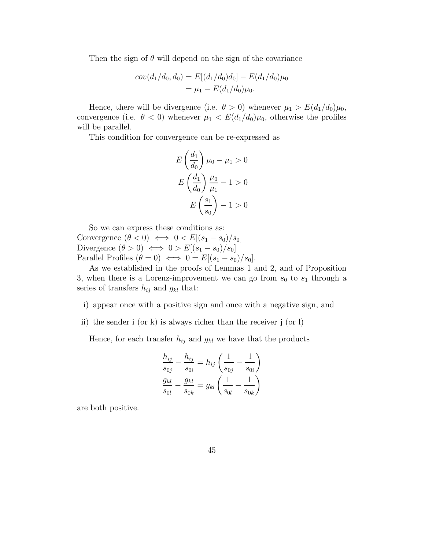Then the sign of  $\theta$  will depend on the sign of the covariance

$$
cov(d_1/d_0, d_0) = E[(d_1/d_0)d_0] - E(d_1/d_0)\mu_0
$$
  
=  $\mu_1 - E(d_1/d_0)\mu_0.$ 

Hence, there will be divergence (i.e.  $\theta > 0$ ) whenever  $\mu_1 > E(d_1/d_0)\mu_0$ , convergence (i.e.  $\theta < 0$ ) whenever  $\mu_1 < E(d_1/d_0)\mu_0$ , otherwise the profiles will be parallel.

This condition for convergence can be re-expressed as

$$
E\left(\frac{d_1}{d_0}\right)\mu_0 - \mu_1 > 0
$$

$$
E\left(\frac{d_1}{d_0}\right)\frac{\mu_0}{\mu_1} - 1 > 0
$$

$$
E\left(\frac{s_1}{s_0}\right) - 1 > 0
$$

So we can express these conditions as: Convergence  $(\theta < 0) \iff 0 < E[(s_1 - s_0)/s_0]$ Divergence  $(\theta > 0) \iff 0 > E[(s_1 - s_0)/s_0]$ Parallel Profiles  $(\theta = 0) \iff 0 = E[(s_1 - s_0)/s_0].$ 

As we established in the proofs of Lemmas 1 and 2, and of Proposition 3, when there is a Lorenz-improvement we can go from  $s_0$  to  $s_1$  through a series of transfers  $h_{ij}$  and  $g_{kl}$  that:

- i) appear once with a positive sign and once with a negative sign, and
- ii) the sender i (or k) is always richer than the receiver j (or l)

Hence, for each transfer  $h_{ij}$  and  $g_{kl}$  we have that the products

$$
\frac{h_{ij}}{s_{0j}} - \frac{h_{ij}}{s_{0i}} = h_{ij} \left( \frac{1}{s_{0j}} - \frac{1}{s_{0i}} \right)
$$

$$
\frac{g_{kl}}{s_{0l}} - \frac{g_{kl}}{s_{0k}} = g_{kl} \left( \frac{1}{s_{0l}} - \frac{1}{s_{0k}} \right)
$$

are both positive.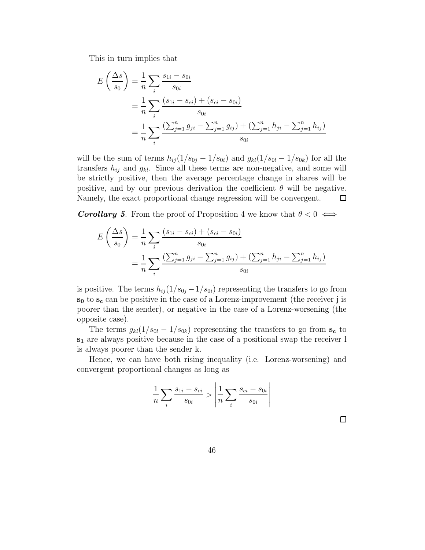This in turn implies that

$$
E\left(\frac{\Delta s}{s_0}\right) = \frac{1}{n} \sum_i \frac{s_{1i} - s_{0i}}{s_{0i}}
$$
  
= 
$$
\frac{1}{n} \sum_i \frac{(s_{1i} - s_{ci}) + (s_{ci} - s_{0i})}{s_{0i}}
$$
  
= 
$$
\frac{1}{n} \sum_i \frac{\left(\sum_{j=1}^n g_{ji} - \sum_{j=1}^n g_{ij}\right) + \left(\sum_{j=1}^n h_{ji} - \sum_{j=1}^n h_{ij}\right)}{s_{0i}}
$$

will be the sum of terms  $h_{ij} (1/s_{0j} - 1/s_{0i})$  and  $g_{kl} (1/s_{0l} - 1/s_{0k})$  for all the transfers  $h_{ij}$  and  $g_{kl}$ . Since all these terms are non-negative, and some will be strictly positive, then the average percentage change in shares will be positive, and by our previous derivation the coefficient  $\theta$  will be negative. Namely, the exact proportional change regression will be convergent.  $\Box$ 

**Corollary 5.** From the proof of Proposition 4 we know that  $\theta < 0 \iff$ 

$$
E\left(\frac{\Delta s}{s_0}\right) = \frac{1}{n} \sum_i \frac{(s_{1i} - s_{ci}) + (s_{ci} - s_{0i})}{s_{0i}}
$$
  
= 
$$
\frac{1}{n} \sum_i \frac{\left(\sum_{j=1}^n g_{ji} - \sum_{j=1}^n g_{ij}\right) + \left(\sum_{j=1}^n h_{ji} - \sum_{j=1}^n h_{ij}\right)}{s_{0i}}
$$

is positive. The terms  $h_{ij} (1/s_{0j} - 1/s_{0i})$  representing the transfers to go from  $s_0$  to  $s_c$  can be positive in the case of a Lorenz-improvement (the receiver j is poorer than the sender), or negative in the case of a Lorenz-worsening (the opposite case).

The terms  $g_{kl}(1/s_{0l} - 1/s_{0k})$  representing the transfers to go from  $s_c$  to s<sup>1</sup> are always positive because in the case of a positional swap the receiver l is always poorer than the sender k.

Hence, we can have both rising inequality (i.e. Lorenz-worsening) and convergent proportional changes as long as

$$
\frac{1}{n} \sum_{i} \frac{s_{1i} - s_{ci}}{s_{0i}} > \left| \frac{1}{n} \sum_{i} \frac{s_{ci} - s_{0i}}{s_{0i}} \right|
$$

 $\Box$